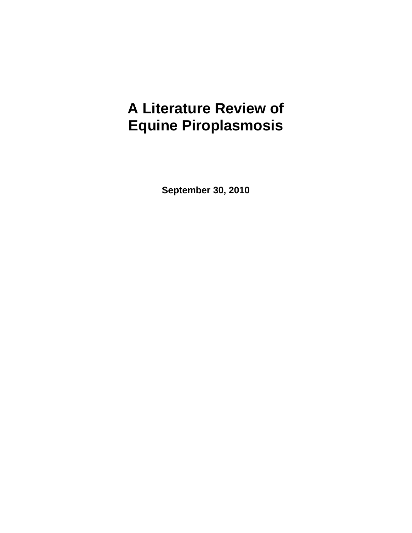# **A Literature Review of Equine Piroplasmosis**

**September 30, 2010**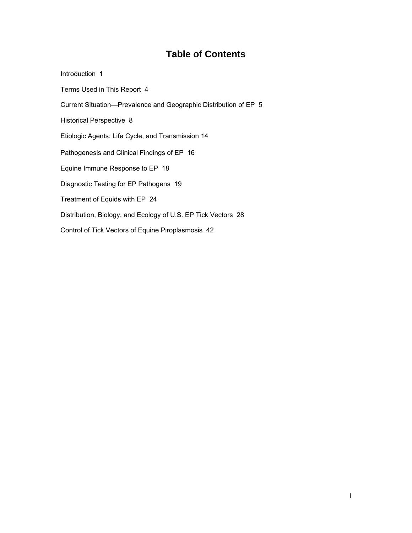# **Table of Contents**

| Introduction 1                                                   |
|------------------------------------------------------------------|
| Terms Used in This Report 4                                      |
| Current Situation—Prevalence and Geographic Distribution of EP 5 |
| Historical Perspective 8                                         |
| Etiologic Agents: Life Cycle, and Transmission 14                |
| Pathogenesis and Clinical Findings of EP 16                      |
| Equine Immune Response to EP 18                                  |
| Diagnostic Testing for EP Pathogens 19                           |
| Treatment of Equids with EP 24                                   |
| Distribution, Biology, and Ecology of U.S. EP Tick Vectors 28    |
| Control of Tick Vectors of Equine Piroplasmosis 42               |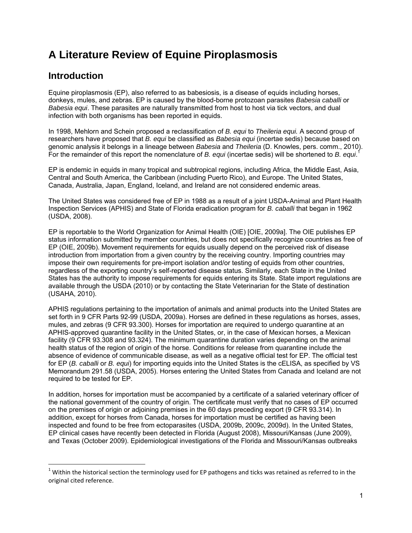# **A Literature Review of Equine Piroplasmosis**

# **Introduction**

 $\overline{a}$ 

Equine piroplasmosis (EP), also referred to as babesiosis, is a disease of equids including horses, donkeys, mules, and zebras. EP is caused by the blood-borne protozoan parasites *Babesia caballi* or *Babesia equi*. These parasites are naturally transmitted from host to host via tick vectors, and dual infection with both organisms has been reported in equids.

In 1998, Mehlorn and Schein proposed a reclassification of *B. equi* to *Theileria equi.* A second group of researchers have proposed that *B. equi* be classified as *Babesia equi* (incertae sedis) because based on genomic analysis it belongs in a lineage between *Babesia* and *Theileria* (D. Knowles, pers. comm., 2010). For the remainder of this report the nomenclature of *B. equi* (incertae sedis) will be shortened to *B. equi*. 1

EP is endemic in equids in many tropical and subtropical regions, including Africa, the Middle East, Asia, Central and South America, the Caribbean (including Puerto Rico), and Europe. The United States, Canada, Australia, Japan, England, Iceland, and Ireland are not considered endemic areas.

The United States was considered free of EP in 1988 as a result of a joint USDA-Animal and Plant Health Inspection Services (APHIS) and State of Florida eradication program for *B. caballi* that began in 1962 (USDA, 2008).

EP is reportable to the World Organization for Animal Health (OIE) [OIE, 2009a]. The OIE publishes EP status information submitted by member countries, but does not specifically recognize countries as free of EP (OIE, 2009b). Movement requirements for equids usually depend on the perceived risk of disease introduction from importation from a given country by the receiving country. Importing countries may impose their own requirements for pre-import isolation and/or testing of equids from other countries, regardless of the exporting country's self-reported disease status. Similarly, each State in the United States has the authority to impose requirements for equids entering its State. State import regulations are available through the USDA (2010) or by contacting the State Veterinarian for the State of destination (USAHA, 2010).

APHIS regulations pertaining to the importation of animals and animal products into the United States are set forth in 9 CFR Parts 92-99 (USDA, 2009a). Horses are defined in these regulations as horses, asses, mules, and zebras (9 CFR 93.300). Horses for importation are required to undergo quarantine at an APHIS-approved quarantine facility in the United States, or, in the case of Mexican horses, a Mexican facility (9 CFR 93.308 and 93.324). The minimum quarantine duration varies depending on the animal health status of the region of origin of the horse. Conditions for release from quarantine include the absence of evidence of communicable disease, as well as a negative official test for EP. The official test for EP (*B. caballi* or *B. equi*) for importing equids into the United States is the cELISA, as specified by VS Memorandum 291.58 (USDA, 2005). Horses entering the United States from Canada and Iceland are not required to be tested for EP.

In addition, horses for importation must be accompanied by a certificate of a salaried veterinary officer of the national government of the country of origin. The certificate must verify that no cases of EP occurred on the premises of origin or adjoining premises in the 60 days preceding export (9 CFR 93.314). In addition, except for horses from Canada, horses for importation must be certified as having been inspected and found to be free from ectoparasites (USDA, 2009b, 2009c, 2009d). In the United States, EP clinical cases have recently been detected in Florida (August 2008), Missouri/Kansas (June 2009), and Texas (October 2009). Epidemiological investigations of the Florida and Missouri/Kansas outbreaks

 $1$  Within the historical section the terminology used for EP pathogens and ticks was retained as referred to in the original cited reference.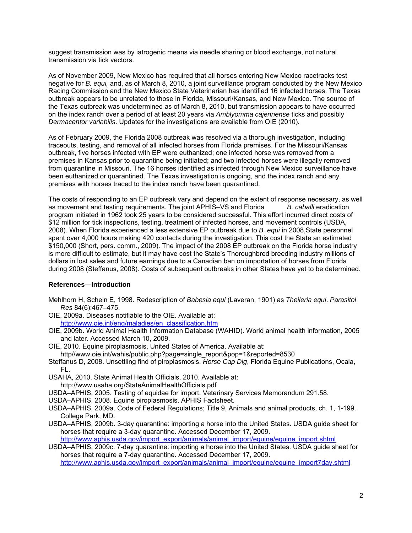suggest transmission was by iatrogenic means via needle sharing or blood exchange, not natural transmission via tick vectors.

As of November 2009, New Mexico has required that all horses entering New Mexico racetracks test negative for *B. equi,* and, as of March 8, 2010, a joint surveillance program conducted by the New Mexico Racing Commission and the New Mexico State Veterinarian has identified 16 infected horses. The Texas outbreak appears to be unrelated to those in Florida, Missouri/Kansas, and New Mexico. The source of the Texas outbreak was undetermined as of March 8, 2010, but transmission appears to have occurred on the index ranch over a period of at least 20 years via *Amblyomma cajennense* ticks and possibly *Dermacentor variabilis*. Updates for the investigations are available from OIE (2010).

As of February 2009, the Florida 2008 outbreak was resolved via a thorough investigation, including traceouts, testing, and removal of all infected horses from Florida premises. For the Missouri/Kansas outbreak, five horses infected with EP were euthanized; one infected horse was removed from a premises in Kansas prior to quarantine being initiated; and two infected horses were illegally removed from quarantine in Missouri. The 16 horses identified as infected through New Mexico surveillance have been euthanized or quarantined. The Texas investigation is ongoing, and the index ranch and any premises with horses traced to the index ranch have been quarantined.

The costs of responding to an EP outbreak vary and depend on the extent of response necessary, as well as movement and testing requirements. The joint APHIS–VS and Florida *B. caballi* eradication program initiated in 1962 took 25 years to be considered successful. This effort incurred direct costs of \$12 million for tick inspections, testing, treatment of infected horses, and movement controls (USDA, 2008). When Florida experienced a less extensive EP outbreak due to *B. equi* in 2008,State personnel spent over 4,000 hours making 420 contacts during the investigation. This cost the State an estimated \$150,000 (Short, pers. comm., 2009). The impact of the 2008 EP outbreak on the Florida horse industry is more difficult to estimate, but it may have cost the State's Thoroughbred breeding industry millions of dollars in lost sales and future earnings due to a Canadian ban on importation of horses from Florida during 2008 (Steffanus, 2008). Costs of subsequent outbreaks in other States have yet to be determined.

#### **References—Introduction**

- Mehlhorn H, Schein E, 1998. Redescription of *Babesia equi* (Laveran, 1901) as *Theileria equi*. *Parasitol Res* 84(6):467–475.
- OIE, 2009a. Diseases notifiable to the OIE. Available at:

http://www.oie.int/eng/maladies/en\_classification.htm

- OIE, 2009b. World Animal Health Information Database (WAHID). World animal health information, 2005 and later. Accessed March 10, 2009.
- OIE, 2010. Equine piroplasmosis, United States of America. Available at: http//www.oie.int/wahis/public.php?page=single\_report&pop=1&reported=8530
- Steffanus D, 2008. Unsettling find of piroplasmosis. *Horse Cap Dig*, Florida Equine Publications, Ocala, FL.
- USAHA, 2010. State Animal Health Officials, 2010. Available at: http://www.usaha.org/StateAnimalHealthOfficials.pdf
- 
- USDA–APHIS, 2005. Testing of equidae for import. Veterinary Services Memorandum 291.58.
- USDA–APHIS, 2008. Equine piroplasmosis. APHIS Factsheet.
- USDA–APHIS, 2009a. Code of Federal Regulations; Title 9, Animals and animal products, ch. 1, 1-199. College Park, MD.
- USDA–APHIS, 2009b. 3-day quarantine: importing a horse into the United States. USDA guide sheet for horses that require a 3-day quarantine. Accessed December 17, 2009. http://www.aphis.usda.gov/import\_export/animals/animal\_import/equine/equine\_import.shtml
- USDA–APHIS, 2009c. 7-day quarantine: importing a horse into the United States. USDA guide sheet for horses that require a 7-day quarantine. Accessed December 17, 2009.

http://www.aphis.usda.gov/import\_export/animals/animal\_import/equine/equine\_import7day.shtml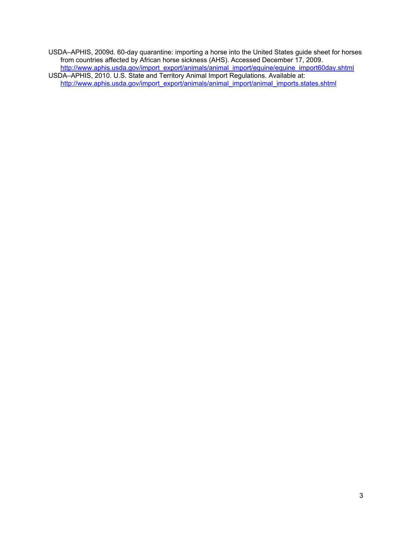USDA–APHIS, 2009d. 60-day quarantine: importing a horse into the United States guide sheet for horses from countries affected by African horse sickness (AHS). Accessed December 17, 2009. http://www.aphis.usda.gov/import\_export/animals/animal\_import/equine/equine\_import60day.shtml USDA–APHIS, 2010. U.S. State and Territory Animal Import Regulations. Available at: http://www.aphis.usda.gov/import\_export/animals/animal\_import/animal\_imports.states.shtml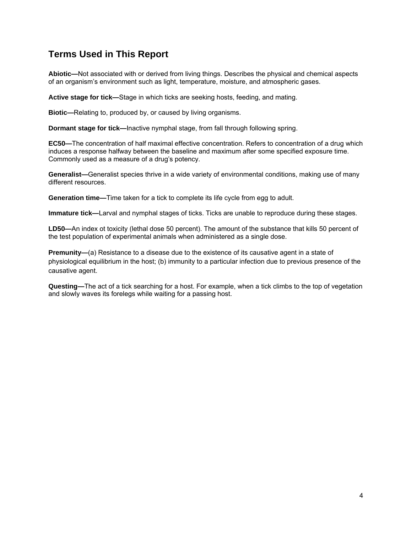### **Terms Used in This Report**

**Abiotic—**Not associated with or derived from living things. Describes the physical and chemical aspects of an organism's environment such as light, temperature, moisture, and atmospheric gases.

**Active stage for tick—**Stage in which ticks are seeking hosts, feeding, and mating.

**Biotic—**Relating to, produced by, or caused by living organisms.

**Dormant stage for tick—**Inactive nymphal stage, from fall through following spring.

**EC50—**The concentration of half maximal effective concentration. Refers to concentration of a drug which induces a response halfway between the baseline and maximum after some specified exposure time. Commonly used as a measure of a drug's potency.

**Generalist—**Generalist species thrive in a wide variety of environmental conditions, making use of many different resources.

**Generation time—**Time taken for a tick to complete its life cycle from egg to adult.

**Immature tick—**Larval and nymphal stages of ticks. Ticks are unable to reproduce during these stages.

**LD50—**An index ot toxicity (lethal dose 50 percent). The amount of the substance that kills 50 percent of the test population of experimental animals when administered as a single dose.

**Premunity—(a)** Resistance to a disease due to the existence of its causative agent in a state of physiological equilibrium in the host; (b) immunity to a particular infection due to previous presence of the causative agent.

**Questing—**The act of a tick searching for a host. For example, when a tick climbs to the top of vegetation and slowly waves its forelegs while waiting for a passing host.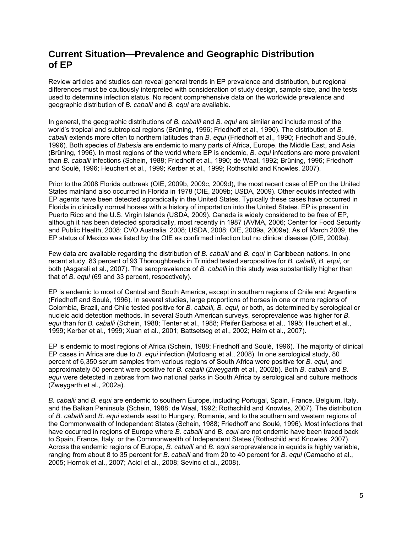### **Current Situation—Prevalence and Geographic Distribution of EP**

Review articles and studies can reveal general trends in EP prevalence and distribution, but regional differences must be cautiously interpreted with consideration of study design, sample size, and the tests used to determine infection status. No recent comprehensive data on the worldwide prevalence and geographic distribution of *B. caballi* and *B. equi* are available.

In general, the geographic distributions of *B. caballi* and *B. equi* are similar and include most of the world's tropical and subtropical regions (Brüning, 1996; Friedhoff et al., 1990). The distribution of *B. caballi* extends more often to northern latitudes than *B. equi* (Friedhoff et al., 1990; Friedhoff and Soulé, 1996). Both species of *Babesia* are endemic to many parts of Africa, Europe, the Middle East, and Asia (Brüning, 1996). In most regions of the world where EP is endemic, *B. equi* infections are more prevalent than *B. caballi* infections (Schein, 1988; Friedhoff et al., 1990; de Waal, 1992; Brüning, 1996; Friedhoff and Soulé, 1996; Heuchert et al., 1999; Kerber et al., 1999; Rothschild and Knowles, 2007).

Prior to the 2008 Florida outbreak (OIE, 2009b, 2009c, 2009d), the most recent case of EP on the United States mainland also occurred in Florida in 1978 (OIE, 2009b; USDA, 2009). Other equids infected with EP agents have been detected sporadically in the United States. Typically these cases have occurred in Florida in clinically normal horses with a history of importation into the United States. EP is present in Puerto Rico and the U.S. Virgin Islands (USDA, 2009). Canada is widely considered to be free of EP, although it has been detected sporadically, most recently in 1987 (AVMA, 2006; Center for Food Security and Public Health, 2008; CVO Australia, 2008; USDA, 2008; OIE, 2009a, 2009e). As of March 2009, the EP status of Mexico was listed by the OIE as confirmed infection but no clinical disease (OIE, 2009a).

Few data are available regarding the distribution of *B. caballi* and *B. equi* in Caribbean nations. In one recent study, 83 percent of 93 Thoroughbreds in Trinidad tested seropositive for *B. caballi, B. equi,* or both (Asgarali et al., 2007). The seroprevalence of *B. caballi* in this study was substantially higher than that of *B. equi* (69 and 33 percent, respectively).

EP is endemic to most of Central and South America, except in southern regions of Chile and Argentina (Friedhoff and Soulé, 1996). In several studies, large proportions of horses in one or more regions of Colombia, Brazil, and Chile tested positive for *B. caballi, B. equi,* or both, as determined by serological or nucleic acid detection methods. In several South American surveys, seroprevalence was higher for *B. equi* than for *B. caballi* (Schein, 1988; Tenter et al., 1988; Pfeifer Barbosa et al., 1995; Heuchert et al., 1999; Kerber et al., 1999; Xuan et al., 2001; Battsetseg et al., 2002; Heim et al., 2007).

EP is endemic to most regions of Africa (Schein, 1988; Friedhoff and Soulé, 1996). The majority of clinical EP cases in Africa are due to *B. equi* infection (Motloang et al., 2008). In one serological study, 80 percent of 6,350 serum samples from various regions of South Africa were positive for *B. equi,* and approximately 50 percent were positive for *B. caballi* (Zweygarth et al., 2002b). Both *B. caballi* and *B. equi* were detected in zebras from two national parks in South Africa by serological and culture methods (Zweygarth et al., 2002a).

*B. caballi* and *B. equi* are endemic to southern Europe, including Portugal, Spain, France, Belgium, Italy, and the Balkan Peninsula (Schein, 1988; de Waal, 1992; Rothschild and Knowles, 2007). The distribution of *B. caballi* and *B. equi* extends east to Hungary, Romania, and to the southern and western regions of the Commonwealth of Independent States (Schein, 1988; Friedhoff and Soulé, 1996). Most infections that have occurred in regions of Europe where *B. caballi* and *B. equi* are not endemic have been traced back to Spain, France, Italy, or the Commonwealth of Independent States (Rothschild and Knowles, 2007). Across the endemic regions of Europe, *B. caballi* and *B. equi* seroprevalence in equids is highly variable, ranging from about 8 to 35 percent for *B. caballi* and from 20 to 40 percent for *B. equi* (Camacho et al., 2005; Hornok et al., 2007; Acici et al., 2008; Sevinc et al., 2008).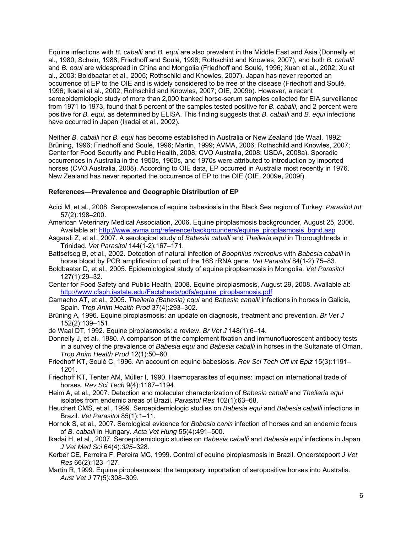Equine infections with *B. caballi* and *B. equi* are also prevalent in the Middle East and Asia (Donnelly et al., 1980; Schein, 1988; Friedhoff and Soulé, 1996; Rothschild and Knowles, 2007), and both *B. caballi* and *B. equi* are widespread in China and Mongolia (Friedhoff and Soulé, 1996; Xuan et al., 2002; Xu et al., 2003; Boldbaatar et al., 2005; Rothschild and Knowles, 2007). Japan has never reported an occurrence of EP to the OIE and is widely considered to be free of the disease (Friedhoff and Soulé, 1996; Ikadai et al., 2002; Rothschild and Knowles, 2007; OIE, 2009b). However, a recent seroepidemiologic study of more than 2,000 banked horse-serum samples collected for EIA surveillance from 1971 to 1973, found that 5 percent of the samples tested positive for *B. caballi,* and 2 percent were positive for *B. equi,* as determined by ELISA. This finding suggests that *B. caballi* and *B. equi* infections have occurred in Japan (Ikadai et al., 2002).

Neither *B. caballi* nor *B. equi* has become established in Australia or New Zealand (de Waal, 1992; Brüning, 1996; Friedhoff and Soulé, 1996; Martin, 1999; AVMA, 2006; Rothschild and Knowles, 2007; Center for Food Security and Public Health, 2008; CVO Australia, 2008; USDA, 2008a). Sporadic occurrences in Australia in the 1950s, 1960s, and 1970s were attributed to introduction by imported horses (CVO Australia, 2008). According to OIE data, EP occurred in Australia most recently in 1976. New Zealand has never reported the occurrence of EP to the OIE (OIE, 2009e, 2009f).

#### **References—Prevalence and Geographic Distribution of EP**

- Acici M, et al., 2008. Seroprevalence of equine babesiosis in the Black Sea region of Turkey. *Parasitol Int* 57(2):198–200.
- American Veterinary Medical Association, 2006. Equine piroplasmosis backgrounder, August 25, 2006. Available at: http://www.avma.org/reference/backgrounders/equine\_piroplasmosis\_bgnd.asp
- Asgarali Z, et al., 2007. A serological study of *Babesia caballi* and *Theileria equi* in Thoroughbreds in Trinidad. *Vet Parasitol* 144(1-2):167–171.
- Battsetseg B, et al., 2002. Detection of natural infection of *Boophilus microplus* with *Babesia caballi* in horse blood by PCR amplification of part of the 16S rRNA gene. *Vet Parasitol* 84(1-2):75–83.
- Boldbaatar D, et al., 2005. Epidemiological study of equine piroplasmosis in Mongolia. *Vet Parasitol* 127(1):29–32.
- Center for Food Safety and Public Health, 2008. Equine piroplasmosis, August 29, 2008. Available at: http://www.cfsph.iastate.edu/Factsheets/pdfs/equine\_piroplasmosis.pdf
- Camacho AT, et al., 2005. *Theileria (Babesia) equi* and *Babesia caballi* infections in horses in Galicia, Spain. *Trop Anim Health Prod* 37(4):293–302.
- Brüning A, 1996. Equine piroplasmosis: an update on diagnosis, treatment and prevention. *Br Vet J*  152(2):139–151.
- de Waal DT, 1992. Equine piroplasmosis: a review. *Br Vet J* 148(1):6–14.
- Donnelly J, et al., 1980. A comparison of the complement fixation and immunofluorescent antibody tests in a survey of the prevalence of *Babesia equi* and *Babesia caballi* in horses in the Sultanate of Oman. *Trop Anim Health Prod* 12(1):50–60.
- Friedhoff KT, Soulé C, 1996. An account on equine babesiosis. *Rev Sci Tech Off int Epiz* 15(3):1191– 1201.
- Friedhoff KT, Tenter AM, Müller I, 1990. Haemoparasites of equines: impact on international trade of horses. *Rev Sci Tech* 9(4):1187–1194.
- Heim A, et al., 2007. Detection and molecular characterization of *Babesia caballi* and *Theileria equi* isolates from endemic areas of Brazil. *Parasitol Res* 102(1):63–68.
- Heuchert CMS, et al., 1999. Seroepidemiologic studies on *Babesia equi* and *Babesia caballi* infections in Brazil. *Vet Parasitol* 85(1):1–11.
- Hornok S, et al., 2007. Serological evidence for *Babesia canis* infection of horses and an endemic focus of *B. caballi* in Hungary. *Acta Vet Hung* 55(4):491–500.
- Ikadai H, et al., 2007. Seroepidemiologic studies on *Babesia caballi* and *Babesia equi* infections in Japan*. J Vet Med Sci* 64(4)*:325*–328.
- Kerber CE, Ferreira F, Pereira MC, 1999. Control of equine piroplasmosis in Brazil. Onderstepoort *J Vet Res* 66(2):123–127.
- Martin R, 1999. Equine piroplasmosis: the temporary importation of seropositive horses into Australia. *Aust Vet J* 77(5):308–309.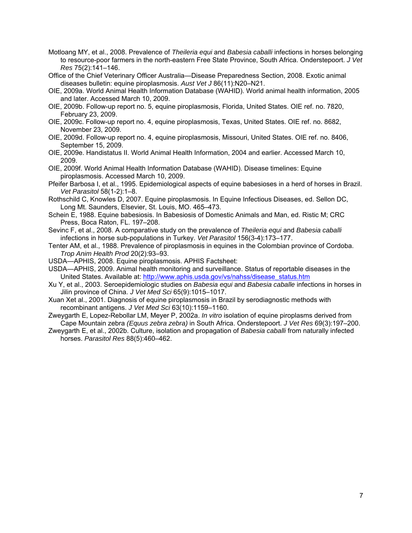- Motloang MY, et al., 2008. Prevalence of *Theileria equi* and *Babesia caballi* infections in horses belonging to resource-poor farmers in the north-eastern Free State Province, South Africa. Onderstepoort. *J Vet Res* 75(2):141–146.
- Office of the Chief Veterinary Officer Australia—Disease Preparedness Section, 2008. Exotic animal diseases bulletin: equine piroplasmosis. *Aust Vet J* 86(11):N20–N21.
- OIE, 2009a. World Animal Health Information Database (WAHID). World animal health information, 2005 and later. Accessed March 10, 2009.
- OIE, 2009b. Follow-up report no. 5, equine piroplasmosis, Florida, United States. OIE ref. no. 7820, February 23, 2009.
- OIE, 2009c. Follow-up report no. 4, equine piroplasmosis, Texas, United States. OIE ref. no. 8682, November 23, 2009.
- OIE, 2009d. Follow-up report no. 4, equine piroplasmosis, Missouri, United States. OIE ref. no. 8406, September 15, 2009.
- OIE, 2009e. Handistatus II. World Animal Health Information, 2004 and earlier. Accessed March 10, 2009.
- OIE, 2009f. World Animal Health Information Database (WAHID). Disease timelines: Equine piroplasmosis. Accessed March 10, 2009.
- Pfeifer Barbosa I, et al., 1995. Epidemiological aspects of equine babesioses in a herd of horses in Brazil. *Vet Parasitol* 58(1-2):1–8.
- Rothschild C, Knowles D, 2007. Equine piroplasmosis. In Equine Infectious Diseases, ed. Sellon DC, Long Mt. Saunders, Elsevier, St. Louis, MO. 465–473.
- Schein E, 1988. Equine babesiosis. In Babesiosis of Domestic Animals and Man, ed. Ristic M; CRC Press, Boca Raton, FL. 197–208.
- Sevinc F, et al., 2008. A comparative study on the prevalence of *Theileria equi* and *Babesia caballi* infections in horse sub-populations in Turkey. *Vet Parasitol* 156(3-4):173–177.
- Tenter AM, et al., 1988. Prevalence of piroplasmosis in equines in the Colombian province of Cordoba. *Trop Anim Health Prod* 20(2):93–93.
- USDA—APHIS, 2008. Equine piroplasmosis. APHIS Factsheet:
- USDA—APHIS, 2009. Animal health monitoring and surveillance. Status of reportable diseases in the United States. Available at: http://www.aphis.usda.gov/vs/nahss/disease\_status.htm
- Xu Y, et al., 2003. Seroepidemiologic studies on *Babesia equi* and *Babesia caballe* infections in horses in Jilin province of China. *J Vet Med Sci* 65(9):1015–1017.
- Xuan Xet al., 2001. Diagnosis of equine piroplasmosis in Brazil by serodiagnostic methods with recombinant antigens. *J Vet Med Sci* 63(10):1159–1160.
- Zweygarth E, Lopez-Rebollar LM, Meyer P, 2002a. *In vitro* isolation of equine piroplasms derived from Cape Mountain zebra *(Equus zebra zebra)* in South Africa. Onderstepoort. *J Vet Res* 69(3):197–200.
- Zweygarth E, et al., 2002b. Culture, isolation and propagation of *Babesia caballi* from naturally infected horses. *Parasitol Res* 88(5):460–462.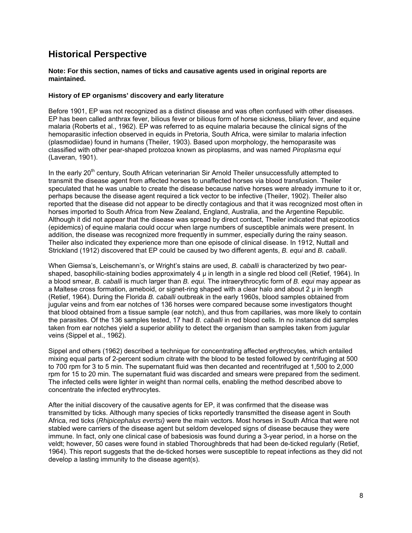### **Historical Perspective**

#### **Note: For this section, names of ticks and causative agents used in original reports are maintained.**

#### **History of EP organisms' discovery and early literature**

Before 1901, EP was not recognized as a distinct disease and was often confused with other diseases. EP has been called anthrax fever, bilious fever or bilious form of horse sickness, biliary fever, and equine malaria (Roberts et al., 1962). EP was referred to as equine malaria because the clinical signs of the hemoparasitic infection observed in equids in Pretoria, South Africa, were similar to malaria infection (plasmodiidae) found in humans (Theiler, 1903). Based upon morphology, the hemoparasite was classified with other pear-shaped protozoa known as piroplasms, and was named *Piroplasma equi* (Laveran, 1901).

In the early 20<sup>th</sup> century, South African veterinarian Sir Arnold Theiler unsuccessfully attempted to transmit the disease agent from affected horses to unaffected horses via blood transfusion. Theiler speculated that he was unable to create the disease because native horses were already immune to it or, perhaps because the disease agent required a tick vector to be infective (Theiler, 1902). Theiler also reported that the disease did not appear to be directly contagious and that it was recognized most often in horses imported to South Africa from New Zealand, England, Australia, and the Argentine Republic. Although it did not appear that the disease was spread by direct contact, Theiler indicated that epizootics (epidemics) of equine malaria could occur when large numbers of susceptible animals were present. In addition, the disease was recognized more frequently in summer, especially during the rainy season. Theiler also indicated they experience more than one episode of clinical disease. In 1912, Nuttall and Strickland (1912) discovered that EP could be caused by two different agents, *B. equi* and *B. caballi*.

When Giemsa's, Leischemann's, or Wright's stains are used, *B. caballi* is characterized by two pearshaped, basophilic-staining bodies approximately  $4 \mu$  in length in a single red blood cell (Retief, 1964). In a blood smear, *B. caballi* is much larger than *B. equi.* The intraerythrocytic form of *B. equi* may appear as a Maltese cross formation, ameboid, or signet-ring shaped with a clear halo and about  $2 \mu$  in length (Retief, 1964). During the Florida *B. caballi* outbreak in the early 1960s, blood samples obtained from jugular veins and from ear notches of 136 horses were compared because some investigators thought that blood obtained from a tissue sample (ear notch), and thus from capillaries, was more likely to contain the parasites. Of the 136 samples tested, 17 had *B. caballi* in red blood cells. In no instance did samples taken from ear notches yield a superior ability to detect the organism than samples taken from jugular veins (Sippel et al., 1962).

Sippel and others (1962) described a technique for concentrating affected erythrocytes, which entailed mixing equal parts of 2-percent sodium citrate with the blood to be tested followed by centrifuging at 500 to 700 rpm for 3 to 5 min. The supernatant fluid was then decanted and recentrifuged at 1,500 to 2,000 rpm for 15 to 20 min. The supernatant fluid was discarded and smears were prepared from the sediment. The infected cells were lighter in weight than normal cells, enabling the method described above to concentrate the infected erythrocytes.

After the initial discovery of the causative agents for EP, it was confirmed that the disease was transmitted by ticks. Although many species of ticks reportedly transmitted the disease agent in South Africa, red ticks (*Rhipicephalus evertsi)* were the main vectors. Most horses in South Africa that were not stabled were carriers of the disease agent but seldom developed signs of disease because they were immune. In fact, only one clinical case of babesiosis was found during a 3-year period, in a horse on the veldt; however, 50 cases were found in stabled Thoroughbreds that had been de-ticked regularly (Retief, 1964). This report suggests that the de-ticked horses were susceptible to repeat infections as they did not develop a lasting immunity to the disease agent(s).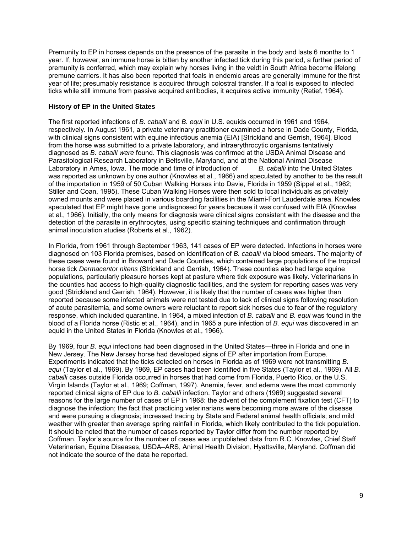Premunity to EP in horses depends on the presence of the parasite in the body and lasts 6 months to 1 year. If, however, an immune horse is bitten by another infected tick during this period, a further period of premunity is conferred, which may explain why horses living in the veldt in South Africa become lifelong premune carriers. It has also been reported that foals in endemic areas are generally immune for the first year of life; presumably resistance is acquired through colostral transfer. If a foal is exposed to infected ticks while still immune from passive acquired antibodies, it acquires active immunity (Retief, 1964).

#### **History of EP in the United States**

The first reported infections of *B. caballi* and *B. equi* in U.S. equids occurred in 1961 and 1964, respectively*.* In August 1961, a private veterinary practitioner examined a horse in Dade County, Florida, with clinical signs consistent with equine infectious anemia (EIA) [Strickland and Gerrish, 1964]. Blood from the horse was submitted to a private laboratory, and intraerythrocytic organisms tentatively diagnosed as *B. caballi were* found. This diagnosis was confirmed at the USDA Animal Disease and Parasitological Research Laboratory in Beltsville, Maryland, and at the National Animal Disease Laboratory in Ames, Iowa. The mode and time of introduction of *B. caballi* into the United States was reported as unknown by one author (Knowles et al., 1966) and speculated by another to be the result of the importation in 1959 of 50 Cuban Walking Horses into Davie, Florida in 1959 (Sippel et al., 1962; Stiller and Coan, 1995). These Cuban Walking Horses were then sold to local individuals as privately owned mounts and were placed in various boarding facilities in the Miami-Fort Lauderdale area. Knowles speculated that EP might have gone undiagnosed for years because it was confused with EIA (Knowles et al., 1966). Initially, the only means for diagnosis were clinical signs consistent with the disease and the detection of the parasite in erythrocytes, using specific staining techniques and confirmation through animal inoculation studies (Roberts et al., 1962).

In Florida, from 1961 through September 1963, 141 cases of EP were detected. Infections in horses were diagnosed on 103 Florida premises, based on identification of *B. caballi* via blood smears. The majority of these cases were found in Broward and Dade Counties, which contained large populations of the tropical horse tick *Dermacentor nitens* (Strickland and Gerrish, 1964). These counties also had large equine populations, particularly pleasure horses kept at pasture where tick exposure was likely. Veterinarians in the counties had access to high-quality diagnostic facilities, and the system for reporting cases was very good (Strickland and Gerrish, 1964). However, it is likely that the number of cases was higher than reported because some infected animals were not tested due to lack of clinical signs following resolution of acute parasitemia, and some owners were reluctant to report sick horses due to fear of the regulatory response, which included quarantine. In 1964, a mixed infection of *B. caballi* and *B. equi* was found in the blood of a Florida horse (Ristic et al., 1964), and in 1965 a pure infection of *B. equi* was discovered in an equid in the United States in Florida (Knowles et al., 1966).

By 1969, four *B. equi* infections had been diagnosed in the United States—three in Florida and one in New Jersey. The New Jersey horse had developed signs of EP after importation from Europe. Experiments indicated that the ticks detected on horses in Florida as of 1969 were not transmitting *B. equi* (Taylor et al., 1969). By 1969, EP cases had been identified in five States (Taylor et al., 1969). All *B. caballi* cases outside Florida occurred in horses that had come from Florida, Puerto Rico, or the U.S. Virgin Islands (Taylor et al., 1969; Coffman, 1997). Anemia, fever, and edema were the most commonly reported clinical signs of EP due to *B. caballi* infection. Taylor and others (1969) suggested several reasons for the large number of cases of EP in 1968: the advent of the complement fixation test (CFT) to diagnose the infection; the fact that practicing veterinarians were becoming more aware of the disease and were pursuing a diagnosis; increased tracing by State and Federal animal health officials; and mild weather with greater than average spring rainfall in Florida, which likely contributed to the tick population. It should be noted that the number of cases reported by Taylor differ from the number reported by Coffman. Taylor's source for the number of cases was unpublished data from R.C. Knowles, Chief Staff Veterinarian, Equine Diseases, USDA–ARS, Animal Health Division, Hyattsville, Maryland. Coffman did not indicate the source of the data he reported.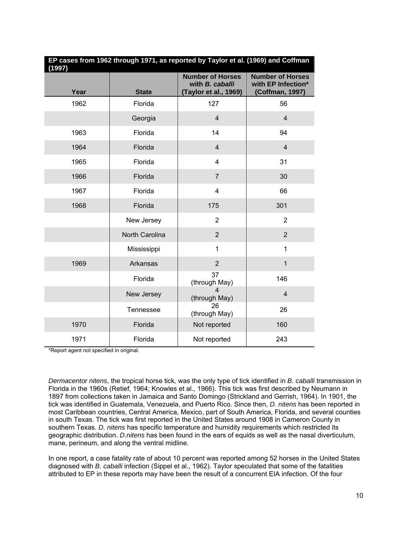| EP cases from 1962 through 1971, as reported by Taylor et al. (1969) and Coffman<br>(1997) |                |                                                                     |                                                                  |  |
|--------------------------------------------------------------------------------------------|----------------|---------------------------------------------------------------------|------------------------------------------------------------------|--|
| Year                                                                                       | <b>State</b>   | <b>Number of Horses</b><br>with B. caballi<br>(Taylor et al., 1969) | <b>Number of Horses</b><br>with EP Infection*<br>(Coffman, 1997) |  |
| 1962                                                                                       | Florida        | 127                                                                 | 56                                                               |  |
|                                                                                            | Georgia        | $\overline{4}$                                                      | $\overline{4}$                                                   |  |
| 1963                                                                                       | Florida        | 14                                                                  | 94                                                               |  |
| 1964                                                                                       | Florida        | $\overline{4}$                                                      | $\overline{4}$                                                   |  |
| 1965                                                                                       | Florida        | 4                                                                   | 31                                                               |  |
| 1966                                                                                       | Florida        | $\overline{7}$                                                      | 30                                                               |  |
| 1967                                                                                       | Florida        | $\overline{\mathbf{4}}$                                             | 66                                                               |  |
| 1968                                                                                       | Florida        | 175                                                                 | 301                                                              |  |
|                                                                                            | New Jersey     | $\overline{2}$                                                      | $\overline{2}$                                                   |  |
|                                                                                            | North Carolina | $\overline{2}$                                                      | $\overline{2}$                                                   |  |
|                                                                                            | Mississippi    | $\mathbf{1}$                                                        | $\mathbf{1}$                                                     |  |
| 1969                                                                                       | Arkansas       | $\overline{2}$                                                      | $\mathbf{1}$                                                     |  |
|                                                                                            | Florida        | 37<br>(through May)                                                 | 146                                                              |  |
|                                                                                            | New Jersey     | 4<br>(through May)                                                  | $\overline{4}$                                                   |  |
|                                                                                            | Tennessee      | 26<br>(through May)                                                 | 26                                                               |  |
| 1970                                                                                       | Florida        | Not reported                                                        | 160                                                              |  |
| 1971                                                                                       | Florida        | Not reported                                                        | 243                                                              |  |

\*Report agent not specified in original.

*Dermacentor nitens*, the tropical horse tick*,* was the only type of tick identified in *B. caballi* transmission in Florida in the 1960s (Retief, 1964; Knowles et al., 1966). This tick was first described by Neumann in 1897 from collections taken in Jamaica and Santo Domingo (Strickland and Gerrish, 1964). In 1901, the tick was identified in Guatemala, Venezuela, and Puerto Rico. Since then, *D. nitens* has been reported in most Caribbean countries, Central America, Mexico, part of South America, Florida, and several counties in south Texas. The tick was first reported in the United States around 1908 in Cameron County in southern Texas. *D. nitens* has specific temperature and humidity requirements which restricted its geographic distribution. *D.nitens* has been found in the ears of equids as well as the nasal diverticulum, mane, perineum, and along the ventral midline.

In one report, a case fatality rate of about 10 percent was reported among 52 horses in the United States diagnosed with *B. caballi* infection (Sippel et al., 1962). Taylor speculated that some of the fatalities attributed to EP in these reports may have been the result of a concurrent EIA infection. Of the four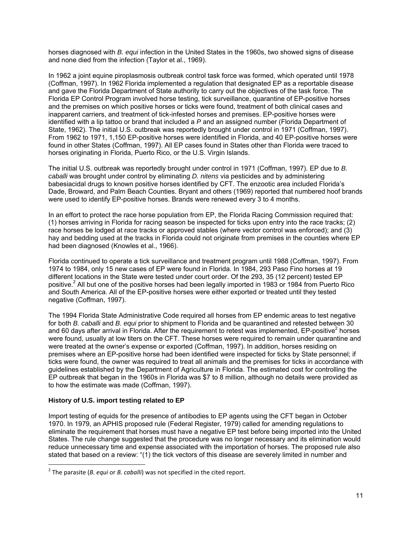horses diagnosed with *B. equi* infection in the United States in the 1960s, two showed signs of disease and none died from the infection (Taylor et al., 1969).

In 1962 a joint equine piroplasmosis outbreak control task force was formed, which operated until 1978 (Coffman, 1997). In 1962 Florida implemented a regulation that designated EP as a reportable disease and gave the Florida Department of State authority to carry out the objectives of the task force. The Florida EP Control Program involved horse testing, tick surveillance, quarantine of EP-positive horses and the premises on which positive horses or ticks were found, treatment of both clinical cases and inapparent carriers, and treatment of tick-infested horses and premises. EP-positive horses were identified with a lip tattoo or brand that included a *P* and an assigned number (Florida Department of State, 1962). The initial U.S. outbreak was reportedly brought under control in 1971 (Coffman, 1997). From 1962 to 1971, 1,150 EP-positive horses were identified in Florida, and 40 EP-positive horses were found in other States (Coffman, 1997). All EP cases found in States other than Florida were traced to horses originating in Florida, Puerto Rico, or the U.S. Virgin Islands.

The initial U.S. outbreak was reportedly brought under control in 1971 (Coffman, 1997). EP due to *B. caballi* was brought under control by eliminating *D. nitens* via pesticides and by administering babesiacidal drugs to known positive horses identified by CFT. The enzootic area included Florida's Dade, Broward, and Palm Beach Counties. Bryant and others (1969) reported that numbered hoof brands were used to identify EP-positive horses. Brands were renewed every 3 to 4 months.

In an effort to protect the race horse population from EP, the Florida Racing Commission required that: (1) horses arriving in Florida for racing season be inspected for ticks upon entry into the race tracks; (2) race horses be lodged at race tracks or approved stables (where vector control was enforced); and (3) hay and bedding used at the tracks in Florida could not originate from premises in the counties where EP had been diagnosed (Knowles et al., 1966).

Florida continued to operate a tick surveillance and treatment program until 1988 (Coffman, 1997). From 1974 to 1984, only 15 new cases of EP were found in Florida. In 1984, 293 Paso Fino horses at 19 different locations in the State were tested under court order. Of the 293, 35 (12 percent) tested EP positive.<sup>2</sup> All but one of the positive horses had been legally imported in 1983 or 1984 from Puerto Rico and South America. All of the EP-positive horses were either exported or treated until they tested negative (Coffman, 1997).

The 1994 Florida State Administrative Code required all horses from EP endemic areas to test negative for both *B. caballi* and *B. equi* prior to shipment to Florida and be quarantined and retested between 30 and 60 days after arrival in Florida. After the requirement to retest was implemented, EP-positive<sup>2</sup> horses were found, usually at low titers on the CFT. These horses were required to remain under quarantine and were treated at the owner's expense or exported (Coffman, 1997). In addition, horses residing on premises where an EP-positive horse had been identified were inspected for ticks by State personnel; if ticks were found, the owner was required to treat all animals and the premises for ticks in accordance with guidelines established by the Department of Agriculture in Florida. The estimated cost for controlling the EP outbreak that began in the 1960s in Florida was \$7 to 8 million, although no details were provided as to how the estimate was made (Coffman, 1997).

#### **History of U.S. import testing related to EP**

 $\overline{a}$ 

Import testing of equids for the presence of antibodies to EP agents using the CFT began in October 1970. In 1979, an APHIS proposed rule (Federal Register, 1979) called for amending regulations to eliminate the requirement that horses must have a negative EP test before being imported into the United States. The rule change suggested that the procedure was no longer necessary and its elimination would reduce unnecessary time and expense associated with the importation of horses. The proposed rule also stated that based on a review: "(1) the tick vectors of this disease are severely limited in number and

<sup>2</sup> The parasite (*B. equi* or *B. caballi*) was not specified in the cited report.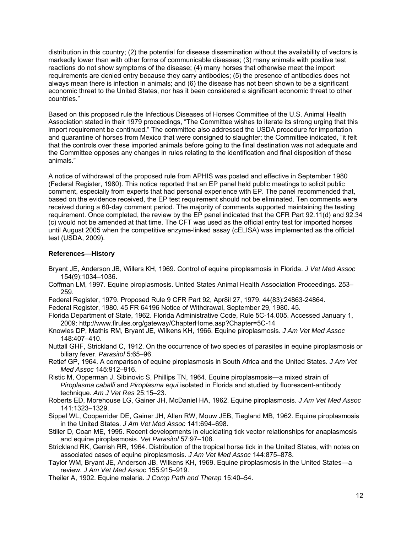distribution in this country; (2) the potential for disease dissemination without the availability of vectors is markedly lower than with other forms of communicable diseases; (3) many animals with positive test reactions do not show symptoms of the disease; (4) many horses that otherwise meet the import requirements are denied entry because they carry antibodies; (5) the presence of antibodies does not always mean there is infection in animals; and (6) the disease has not been shown to be a significant economic threat to the United States, nor has it been considered a significant economic threat to other countries."

Based on this proposed rule the Infectious Diseases of Horses Committee of the U.S. Animal Health Association stated in their 1979 proceedings, "The Committee wishes to iterate its strong urging that this import requirement be continued." The committee also addressed the USDA procedure for importation and quarantine of horses from Mexico that were consigned to slaughter; the Committee indicated, "it felt that the controls over these imported animals before going to the final destination was not adequate and the Committee opposes any changes in rules relating to the identification and final disposition of these animals."

A notice of withdrawal of the proposed rule from APHIS was posted and effective in September 1980 (Federal Register, 1980). This notice reported that an EP panel held public meetings to solicit public comment, especially from experts that had personal experience with EP. The panel recommended that, based on the evidence received, the EP test requirement should not be eliminated. Ten comments were received during a 60-day comment period. The majority of comments supported maintaining the testing requirement. Once completed, the review by the EP panel indicated that the CFR Part 92.11(d) and 92.34 (c) would not be amended at that time. The CFT was used as the official entry test for imported horses until August 2005 when the competitive enzyme-linked assay (cELISA) was implemented as the official test (USDA, 2009).

#### **References—History**

- Bryant JE, Anderson JB, Willers KH, 1969. Control of equine piroplasmosis in Florida. *J Vet Med Assoc* 154(9):1034–1036.
- Coffman LM, 1997. Equine piroplasmosis. United States Animal Health Association Proceedings. 253– 259.
- Federal Register, 1979. Proposed Rule 9 CFR Part 92, Apr8il 27, 1979. 44(83):24863-24864.
- Federal Register, 1980. 45 FR 64196 Notice of Withdrawal, September 29, 1980. 45.
- Florida Department of State, 1962. Florida Administrative Code, Rule 5C-14.005. Accessed January 1, 2009: http://www.flrules.org/gateway/ChapterHome.asp?Chapter=5C-14
- Knowles DP, Mathis RM, Bryant JE, Wilkens KH, 1966. Equine piroplasmosis. *J Am Vet Med Assoc*  148:407–410.
- Nuttall GHF, Strickland C, 1912. On the occurrence of two species of parasites in equine piroplasmosis or biliary fever. *Parasitol* 5:65–96.
- Retief GP, 1964. A comparison of equine piroplasmosis in South Africa and the United States. *J Am Vet Med Assoc* 145:912–916.
- Ristic M, Opperman J, Sibinovic S, Phillips TN, 1964. Equine piroplasmosis—a mixed strain of *Piroplasma caballi* and *Piroplasma equi* isolated in Florida and studied by fluorescent-antibody technique. *Am J Vet Res* 25:15–23.
- Roberts ED, Morehouse LG, Gainer JH, McDaniel HA, 1962. Equine piroplasmosis. *J Am Vet Med Assoc*  141:1323–1329.
- Sippel WL, Cooperrider DE, Gainer JH, Allen RW, Mouw JEB, Tiegland MB, 1962. Equine piroplasmosis in the United States. *J Am Vet Med Assoc* 141:694–698.
- Stiller D, Coan ME, 1995. Recent developments in elucidating tick vector relationships for anaplasmosis and equine piroplasmosis. *Vet Parasitol* 57:97–108.
- Strickland RK, Gerrish RR, 1964. Distribution of the tropical horse tick in the United States, with notes on associated cases of equine piroplasmosis. *J Am Vet Med Assoc* 144:875–878.
- Taylor WM, Bryant JE, Anderson JB, Wilkens KH, 1969. Equine piroplasmosis in the United States—a review. *J Am Vet Med Assoc* 155:915–919.
- Theiler A, 1902. Equine malaria. *J Comp Path and Therap* 15:40–54.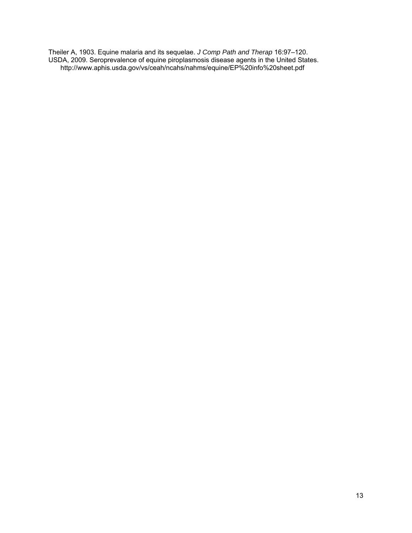Theiler A, 1903. Equine malaria and its sequelae. *J Comp Path and Therap* 16:97–120. USDA, 2009. Seroprevalence of equine piroplasmosis disease agents in the United States. http://www.aphis.usda.gov/vs/ceah/ncahs/nahms/equine/EP%20info%20sheet.pdf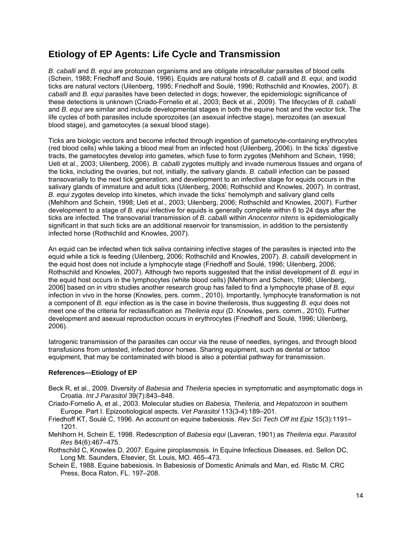### **Etiology of EP Agents: Life Cycle and Transmission**

*B. caballi* and *B. equi* are protozoan organisms and are obligate intracellular parasites of blood cells (Schein, 1988; Friedhoff and Soulé, 1996). Equids are natural hosts of *B. caballi* and *B. equi*, and ixodid ticks are natural vectors (Uilenberg, 1995; Friedhoff and Soulé, 1996; Rothschild and Knowles, 2007). *B. caballi* and *B. equi* parasites have been detected in dogs; however, the epidemiologic significance of these detections is unknown (Criado-Fornelio et al., 2003; Beck et al., 2009). The lifecycles of *B. caballi* and *B. equi* are similar and include developmental stages in both the equine host and the vector tick. The life cycles of both parasites include sporozoites (an asexual infective stage), merozoites (an asexual blood stage), and gametocytes (a sexual blood stage).

Ticks are biologic vectors and become infected through ingestion of gametocyte-containing erythrocytes (red blood cells) while taking a blood meal from an infected host (Uilenberg, 2006). In the ticks' digestive tracts, the gametocytes develop into gametes, which fuse to form zygotes (Mehlhorn and Schein, 1998; Ueti et al., 2003; Uilenberg, 2006). *B. caballi* zygotes multiply and invade numerous tissues and organs of the ticks, including the ovaries, but not, initially, the salivary glands. *B. caballi* infection can be passed transovarially to the next tick generation, and development to an infective stage for equids occurs in the salivary glands of immature and adult ticks (Uilenberg, 2006; Rothschild and Knowles, 2007). In contrast, *B. equi* zygotes develop into kinetes, which invade the ticks' hemolymph and salivary gland cells (Mehlhorn and Schein, 1998; Ueti et al., 2003; Uilenberg, 2006; Rothschild and Knowles, 2007). Further development to a stage of *B. equi* infective for equids is generally complete within 6 to 24 days after the ticks are infected. The transovarial transmission of *B. caballi* within *Anocentor nitens* is epidemiologically significant in that such ticks are an additional reservoir for transmission, in addition to the persistently infected horse (Rothschild and Knowles, 2007).

An equid can be infected when tick saliva containing infective stages of the parasites is injected into the equid while a tick is feeding (Uilenberg, 2006; Rothschild and Knowles, 2007). *B. caballi* development in the equid host does not include a lymphocyte stage (Friedhoff and Soulé, 1996; Uilenberg, 2006; Rothschild and Knowles, 2007). Although two reports suggested that the initial development of *B. equi* in the equid host occurs in the lymphocytes (white blood cells) [Mehlhorn and Schein, 1998; Uilenberg, 2006] based on in vitro studies another research group has failed to find a lymphocyte phase of *B. equi* infection in vivo in the horse (Knowles, pers. comm., 2010). Importantly, lymphocyte transformation is not a component of *B. equi* infection as is the case in bovine theilerosis, thus suggesting *B. equi* does not meet one of the criteria for reclassification as *Theileria equi* (D. Knowles, pers. comm., 2010). Further development and asexual reproduction occurs in erythrocytes (Friedhoff and Soulé, 1996; Uilenberg, 2006).

Iatrogenic transmission of the parasites can occur via the reuse of needles, syringes, and through blood transfusions from untested, infected donor horses. Sharing equipment, such as dental or tattoo equipment, that may be contaminated with blood is also a potential pathway for transmission.

#### **References—Etiology of EP**

- Beck R, et al., 2009. Diversity of *Babesia* and *Theileria* species in symptomatic and asymptomatic dogs in Croatia. *Int J Parasitol* 39(7):843–848.
- Criado-Fornelio A, et al., 2003. Molecular studies on *Babesia, Theileria,* and *Hepatozoon* in southern Europe. Part I. Epizootiological aspects. *Vet Parasitol* 113(3-4):189–201.
- Friedhoff KT, Soulé C, 1996. An account on equine babesiosis. *Rev Sci Tech Off Int Epiz* 15(3):1191– 1201.
- Mehlhorn H, Schein E, 1998. Redescription of *Babesia equi* (Laveran, 1901) as *Theileria equi*. *Parasitol Res* 84(6):467–475.
- Rothschild C, Knowles D, 2007. Equine piroplasmosis. In Equine Infectious Diseases, ed. Sellon DC, Long Mt. Saunders, Elsevier, St. Louis, MO. 465–473.
- Schein E, 1988. Equine babesiosis. In Babesiosis of Domestic Animals and Man, ed. Ristic M. CRC Press, Boca Raton, FL. 197–208.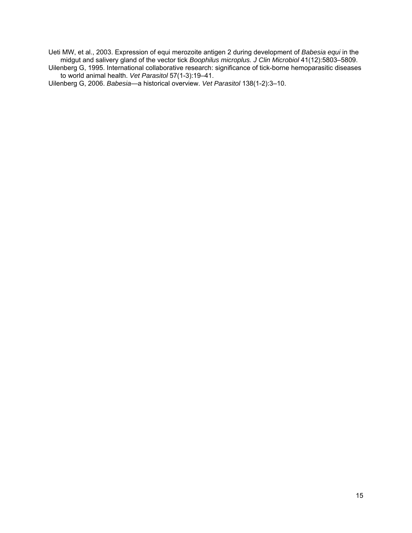Ueti MW, et al., 2003. Expression of equi merozoite antigen 2 during development of *Babesia equi* in the midgut and salivery gland of the vector tick *Boophilus microplus. J Clin Microbiol* 41(12):5803–5809.

Uilenberg G, 1995. International collaborative research: significance of tick-borne hemoparasitic diseases to world animal health. *Vet Parasitol* 57(1-3):19–41.

Uilenberg G, 2006. *Babesia*—a historical overview. *Vet Parasitol* 138(1-2):3–10.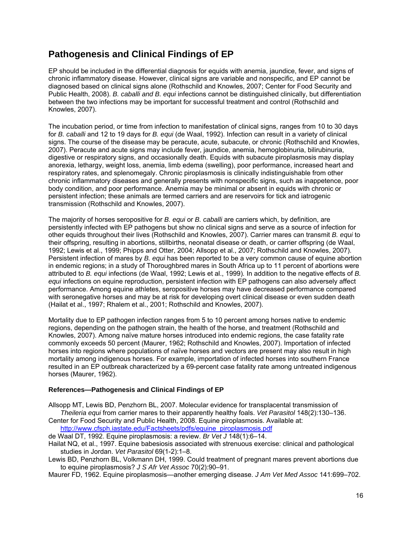### **Pathogenesis and Clinical Findings of EP**

EP should be included in the differential diagnosis for equids with anemia, jaundice, fever, and signs of chronic inflammatory disease. However, clinical signs are variable and nonspecific, and EP cannot be diagnosed based on clinical signs alone (Rothschild and Knowles, 2007; Center for Food Security and Public Health, 2008). *B. caballi and B. equi* infections cannot be distinguished clinically, but differentiation between the two infections may be important for successful treatment and control (Rothschild and Knowles, 2007).

The incubation period, or time from infection to manifestation of clinical signs, ranges from 10 to 30 days for *B. caballi* and 12 to 19 days for *B. equi* (de Waal, 1992). Infection can result in a variety of clinical signs. The course of the disease may be peracute, acute, subacute, or chronic (Rothschild and Knowles, 2007). Peracute and acute signs may include fever, jaundice, anemia, hemoglobinuria, bilirubinuria, digestive or respiratory signs, and occasionally death. Equids with subacute piroplasmosis may display anorexia, lethargy, weight loss, anemia, limb edema (swelling), poor performance, increased heart and respiratory rates, and splenomegaly. Chronic piroplasmosis is clinically indistinguishable from other chronic inflammatory diseases and generally presents with nonspecific signs, such as inappetence, poor body condition, and poor performance. Anemia may be minimal or absent in equids with chronic or persistent infection; these animals are termed carriers and are reservoirs for tick and iatrogenic transmission (Rothschild and Knowles, 2007).

The majority of horses seropositive for *B. equi* or *B. caballi* are carriers which, by definition, are persistently infected with EP pathogens but show no clinical signs and serve as a source of infection for other equids throughout their lives (Rothschild and Knowles, 2007). Carrier mares can transmit *B. equi* to their offspring, resulting in abortions, stillbirths, neonatal disease or death, or carrier offspring (de Waal, 1992; Lewis et al., 1999; Phipps and Otter, 2004; Allsopp et al., 2007; Rothschild and Knowles, 2007). Persistent infection of mares by *B. equi* has been reported to be a very common cause of equine abortion in endemic regions; in a study of Thoroughbred mares in South Africa up to 11 percent of abortions were attributed to *B. equi* infections (de Waal, 1992; Lewis et al., 1999)*.* In addition to the negative effects of *B. equi* infections on equine reproduction, persistent infection with EP pathogens can also adversely affect performance. Among equine athletes, seropositive horses may have decreased performance compared with seronegative horses and may be at risk for developing overt clinical disease or even sudden death (Hailat et al., 1997; Rhalem et al., 2001; Rothschild and Knowles, 2007).

Mortality due to EP pathogen infection ranges from 5 to 10 percent among horses native to endemic regions, depending on the pathogen strain, the health of the horse, and treatment (Rothschild and Knowles, 2007). Among naïve mature horses introduced into endemic regions, the case fatality rate commonly exceeds 50 percent (Maurer, 1962; Rothschild and Knowles, 2007). Importation of infected horses into regions where populations of naïve horses and vectors are present may also result in high mortality among indigenous horses. For example, importation of infected horses into southern France resulted in an EP outbreak characterized by a 69-percent case fatality rate among untreated indigenous horses (Maurer, 1962).

#### **References—Pathogenesis and Clinical Findings of EP**

Allsopp MT, Lewis BD, Penzhorn BL, 2007. Molecular evidence for transplacental transmission of *Theileria equi* from carrier mares to their apparently healthy foals. *Vet Parasitol* 148(2):130–136.

- Center for Food Security and Public Health, 2008. Equine piroplasmosis. Available at: http://www.cfsph.iastate.edu/Factsheets/pdfs/equine\_piroplasmosis.pdf
- de Waal DT, 1992. Equine piroplasmosis: a review. *Br Vet J* 148(1):6–14.
- Hailat NQ, et al., 1997. Equine babesiosis associated with strenuous exercise: clinical and pathological studies in Jordan. *Vet Parasitol* 69(1-2):1–8.
- Lewis BD, Penzhorn BL, Volkmann DH, 1999. Could treatment of pregnant mares prevent abortions due to equine piroplasmosis? *J S Afr Vet Assoc* 70(2):90–91.

Maurer FD, 1962. Equine piroplasmosis—another emerging disease. *J Am Vet Med Assoc* 141:699–702.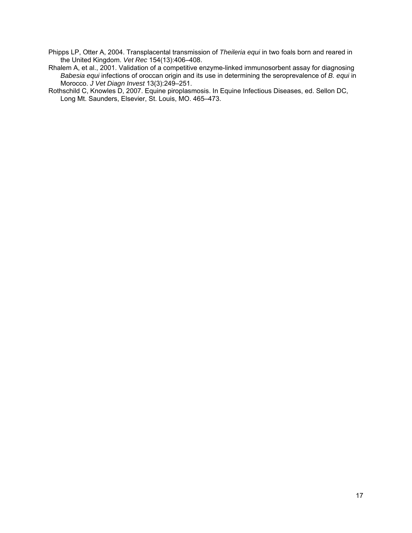Phipps LP, Otter A, 2004. Transplacental transmission of *Theileria equi* in two foals born and reared in the United Kingdom. *Vet Rec* 154(13):406–408.

Rhalem A, et al., 2001. Validation of a competitive enzyme-linked immunosorbent assay for diagnosing *Babesia equi* infections of oroccan origin and its use in determining the seroprevalence of *B. equi* in Morocco. *J Vet Diagn Invest* 13(3):249–251.

Rothschild C, Knowles D, 2007. Equine piroplasmosis. In Equine Infectious Diseases, ed. Sellon DC, Long Mt. Saunders, Elsevier, St. Louis, MO. 465–473.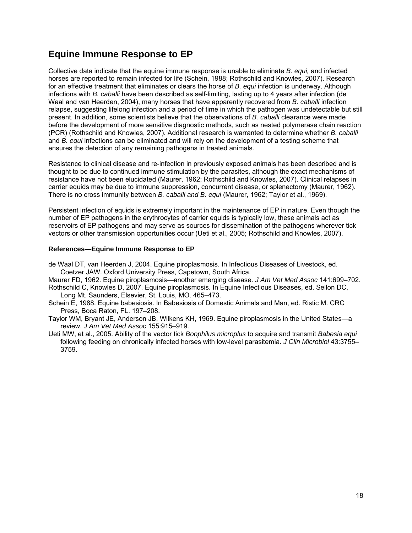### **Equine Immune Response to EP**

Collective data indicate that the equine immune response is unable to eliminate *B. equi,* and infected horses are reported to remain infected for life (Schein, 1988; Rothschild and Knowles, 2007). Research for an effective treatment that eliminates or clears the horse of *B. equi* infection is underway. Although infections with *B. caballi* have been described as self-limiting, lasting up to 4 years after infection (de Waal and van Heerden, 2004), many horses that have apparently recovered from *B. caballi* infection relapse, suggesting lifelong infection and a period of time in which the pathogen was undetectable but still present. In addition, some scientists believe that the observations of *B. caballi* clearance were made before the development of more sensitive diagnostic methods, such as nested polymerase chain reaction (PCR) (Rothschild and Knowles, 2007). Additional research is warranted to determine whether *B. caballi*  and *B. equi* infections can be eliminated and will rely on the development of a testing scheme that ensures the detection of any remaining pathogens in treated animals.

Resistance to clinical disease and re-infection in previously exposed animals has been described and is thought to be due to continued immune stimulation by the parasites, although the exact mechanisms of resistance have not been elucidated (Maurer, 1962; Rothschild and Knowles, 2007). Clinical relapses in carrier equids may be due to immune suppression, concurrent disease, or splenectomy (Maurer, 1962). There is no cross immunity between *B. caballi and B. equi* (Maurer, 1962; Taylor et al., 1969).

Persistent infection of equids is extremely important in the maintenance of EP in nature. Even though the number of EP pathogens in the erythrocytes of carrier equids is typically low, these animals act as reservoirs of EP pathogens and may serve as sources for dissemination of the pathogens wherever tick vectors or other transmission opportunities occur (Ueti et al., 2005; Rothschild and Knowles, 2007).

#### **References—Equine Immune Response to EP**

- de Waal DT, van Heerden J, 2004. Equine piroplasmosis. In Infectious Diseases of Livestock, ed. Coetzer JAW. Oxford University Press, Capetown, South Africa.
- Maurer FD, 1962. Equine piroplasmosis—another emerging disease. *J Am Vet Med Assoc* 141:699–702. Rothschild C, Knowles D, 2007. Equine piroplasmosis. In Equine Infectious Diseases, ed. Sellon DC,
- Long Mt. Saunders, Elsevier, St. Louis, MO. 465–473.
- Schein E, 1988. Equine babesiosis. In Babesiosis of Domestic Animals and Man, ed. Ristic M. CRC Press, Boca Raton, FL. 197–208.
- Taylor WM, Bryant JE, Anderson JB, Wilkens KH, 1969. Equine piroplasmosis in the United States—a review. *J Am Vet Med Assoc* 155:915–919.
- Ueti MW, et al., 2005. Ability of the vector tick *Boophilus microplus* to acquire and transmit *Babesia equi* following feeding on chronically infected horses with low-level parasitemia. *J Clin Microbiol* 43:3755– 3759.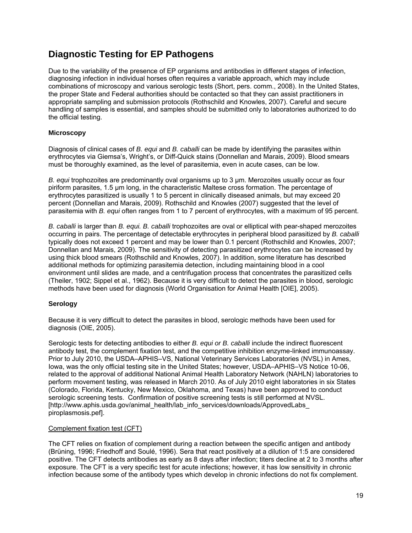## **Diagnostic Testing for EP Pathogens**

Due to the variability of the presence of EP organisms and antibodies in different stages of infection, diagnosing infection in individual horses often requires a variable approach, which may include combinations of microscopy and various serologic tests (Short, pers. comm., 2008). In the United States, the proper State and Federal authorities should be contacted so that they can assist practitioners in appropriate sampling and submission protocols (Rothschild and Knowles, 2007). Careful and secure handling of samples is essential, and samples should be submitted only to laboratories authorized to do the official testing.

#### **Microscopy**

Diagnosis of clinical cases of *B. equi* and *B. caballi* can be made by identifying the parasites within erythrocytes via Giemsa's, Wright's, or Diff-Quick stains (Donnellan and Marais, 2009). Blood smears must be thoroughly examined, as the level of parasitemia, even in acute cases, can be low.

*B. equi* trophozoites are predominantly oval organisms up to 3 µm. Merozoites usually occur as four piriform parasites, 1.5 µm long, in the characteristic Maltese cross formation. The percentage of erythrocytes parasitized is usually 1 to 5 percent in clinically diseased animals, but may exceed 20 percent (Donnellan and Marais, 2009). Rothschild and Knowles (2007) suggested that the level of parasitemia with *B. equi* often ranges from 1 to 7 percent of erythrocytes, with a maximum of 95 percent.

*B. caballi* is larger than *B. equi. B. caballi* trophozoites are oval or elliptical with pear-shaped merozoites occurring in pairs. The percentage of detectable erythrocytes in peripheral blood parasitized by *B. caballi* typically does not exceed 1 percent and may be lower than 0.1 percent (Rothschild and Knowles, 2007; Donnellan and Marais, 2009). The sensitivity of detecting parasitized erythrocytes can be increased by using thick blood smears (Rothschild and Knowles, 2007). In addition, some literature has described additional methods for optimizing parasitemia detection, including maintaining blood in a cool environment until slides are made, and a centrifugation process that concentrates the parasitized cells (Theiler, 1902; Sippel et al., 1962). Because it is very difficult to detect the parasites in blood, serologic methods have been used for diagnosis (World Organisation for Animal Health [OIE], 2005).

#### **Serology**

Because it is very difficult to detect the parasites in blood, serologic methods have been used for diagnosis (OIE, 2005).

Serologic tests for detecting antibodies to either *B. equi or B. caballi* include the indirect fluorescent antibody test, the complement fixation test, and the competitive inhibition enzyme-linked immunoassay. Prior to July 2010, the USDA–APHIS–VS, National Veterinary Services Laboratories (NVSL) in Ames, Iowa, was the only official testing site in the United States; however, USDA–APHIS–VS Notice 10-06, related to the approval of additional National Animal Health Laboratory Network (NAHLN) laboratories to perform movement testing, was released in March 2010. As of July 2010 eight laboratories in six States (Colorado, Florida, Kentucky, New Mexico, Oklahoma, and Texas) have been approved to conduct serologic screening tests. Confirmation of positive screening tests is still performed at NVSL. [http://www.aphis.usda.gov/animal\_health/lab\_info\_services/downloads/ApprovedLabs\_ piroplasmosis.pef].

#### Complement fixation test (CFT)

The CFT relies on fixation of complement during a reaction between the specific antigen and antibody (Brüning, 1996; Friedhoff and Soulé, 1996). Sera that react positively at a dilution of 1:5 are considered positive. The CFT detects antibodies as early as 8 days after infection; titers decline at 2 to 3 months after exposure. The CFT is a very specific test for acute infections; however, it has low sensitivity in chronic infection because some of the antibody types which develop in chronic infections do not fix complement.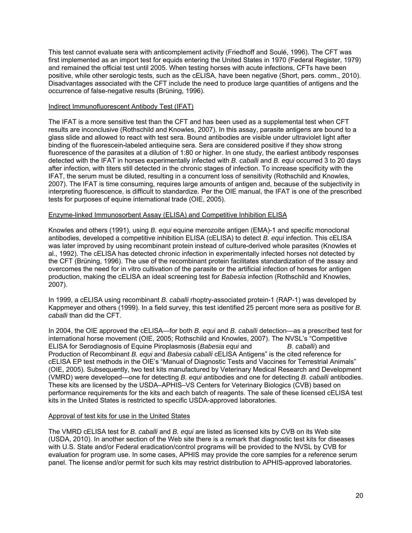This test cannot evaluate sera with anticomplement activity (Friedhoff and Soulé, 1996). The CFT was first implemented as an import test for equids entering the United States in 1970 (Federal Register, 1979) and remained the official test until 2005. When testing horses with acute infections, CFTs have been positive, while other serologic tests, such as the cELISA, have been negative (Short, pers. comm., 2010). Disadvantages associated with the CFT include the need to produce large quantities of antigens and the occurrence of false-negative results (Brüning, 1996).

#### Indirect Immunofluorescent Antibody Test (IFAT)

The IFAT is a more sensitive test than the CFT and has been used as a supplemental test when CFT results are inconclusive (Rothschild and Knowles, 2007). In this assay, parasite antigens are bound to a glass slide and allowed to react with test sera. Bound antibodies are visible under ultraviolet light after binding of the fluorescein-labeled antiequine sera. Sera are considered positive if they show strong fluorescence of the parasites at a dilution of 1:80 or higher. In one study, the earliest antibody responses detected with the IFAT in horses experimentally infected with *B. caballi* and *B. equi* occurred 3 to 20 days after infection, with titers still detected in the chronic stages of infection. To increase specificity with the IFAT, the serum must be diluted, resulting in a concurrent loss of sensitivity (Rothschild and Knowles, 2007). The IFAT is time consuming, requires large amounts of antigen and, because of the subjectivity in interpreting fluorescence, is difficult to standardize. Per the OIE manual, the IFAT is one of the prescribed tests for purposes of equine international trade (OIE, 2005).

#### Enzyme-linked Immunosorbent Assay (ELISA) and Competitive Inhibition ELISA

Knowles and others (1991), using *B. equi* equine merozoite antigen (EMA)-1 and specific monoclonal antibodies, developed a competitive inhibition ELISA (cELISA) to detect *B. equi* infection. This cELISA was later improved by using recombinant protein instead of culture-derived whole parasites (Knowles et al., 1992). The cELISA has detected chronic infection in experimentally infected horses not detected by the CFT (Brüning, 1996). The use of the recombinant protein facilitates standardization of the assay and overcomes the need for in vitro cultivation of the parasite or the artificial infection of horses for antigen production, making the cELISA an ideal screening test for *Babesia* infection (Rothschild and Knowles, 2007).

In 1999, a cELISA using recombinant *B. caballi* rhoptry-associated protein-1 (RAP-1) was developed by Kappmeyer and others (1999). In a field survey, this test identified 25 percent more sera as positive for *B. caballi* than did the CFT.

In 2004, the OIE approved the cELISA—for both *B. equi* and *B. caballi* detection—as a prescribed test for international horse movement (OIE, 2005; Rothschild and Knowles, 2007). The NVSL's "Competitive ELISA for Serodiagnosis of Equine Piroplasmosis (*Babesia equi* and *B. caballi*) and Production of Recombinant *B. equi* and *Babesia caballi* cELISA Antigens" is the cited reference for cELISA EP test methods in the OIE's "Manual of Diagnostic Tests and Vaccines for Terrestrial Animals" (OIE, 2005). Subsequently, two test kits manufactured by Veterinary Medical Research and Development (VMRD) were developed—one for detecting *B. equi* antibodies and one for detecting *B. caballi* antibodies. These kits are licensed by the USDA–APHIS–VS Centers for Veterinary Biologics (CVB) based on performance requirements for the kits and each batch of reagents. The sale of these licensed cELISA test kits in the United States is restricted to specific USDA-approved laboratories.

#### Approval of test kits for use in the United States

The VMRD cELISA test for *B. caballi* and *B. equi* are listed as licensed kits by CVB on its Web site (USDA, 2010). In another section of the Web site there is a remark that diagnostic test kits for diseases with U.S. State and/or Federal eradication/control programs will be provided to the NVSL by CVB for evaluation for program use. In some cases, APHIS may provide the core samples for a reference serum panel. The license and/or permit for such kits may restrict distribution to APHIS-approved laboratories.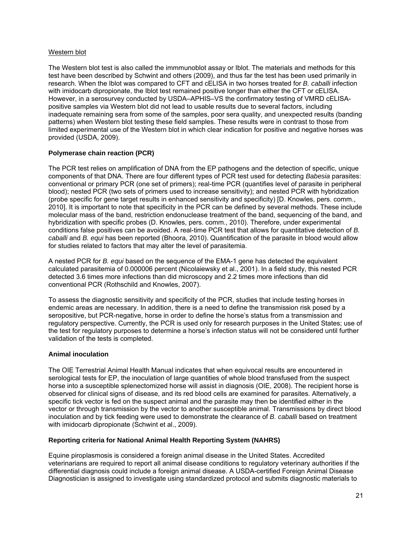#### Western blot

The Western blot test is also called the immmunoblot assay or Iblot. The materials and methods for this test have been described by Schwint and others (2009), and thus far the test has been used primarily in research. When the Iblot was compared to CFT and cELISA in two horses treated for *B. caballi* infection with imidocarb dipropionate, the Iblot test remained positive longer than either the CFT or cELISA. However, in a serosurvey conducted by USDA–APHIS–VS the confirmatory testing of VMRD cELISApositive samples via Western blot did not lead to usable results due to several factors, including inadequate remaining sera from some of the samples, poor sera quality, and unexpected results (banding patterns) when Western blot testing these field samples. These results were in contrast to those from limited experimental use of the Western blot in which clear indication for positive and negative horses was provided (USDA, 2009).

#### **Polymerase chain reaction (PCR)**

The PCR test relies on amplification of DNA from the EP pathogens and the detection of specific, unique components of that DNA. There are four different types of PCR test used for detecting *Babesia* parasites: conventional or primary PCR (one set of primers); real-time PCR (quantifies level of parasite in peripheral blood); nested PCR (two sets of primers used to increase sensitivity); and nested PCR with hybridization (probe specific for gene target results in enhanced sensitivity and specificity) [D. Knowles, pers. comm., 2010]. It is important to note that specificity in the PCR can be defined by several methods. These include molecular mass of the band, restriction endonuclease treatment of the band, sequencing of the band, and hybridization with specific probes (D. Knowles, pers. comm., 2010). Therefore, under experimental conditions false positives can be avoided. A real-time PCR test that allows for quantitative detection of *B. caballi* and *B. equi* has been reported (Bhoora, 2010). Quantification of the parasite in blood would allow for studies related to factors that may alter the level of parasitemia.

A nested PCR for *B. equi* based on the sequence of the EMA-1 gene has detected the equivalent calculated parasitemia of 0.000006 percent (Nicolaiewsky et al., 2001). In a field study, this nested PCR detected 3.6 times more infections than did microscopy and 2.2 times more infections than did conventional PCR (Rothschild and Knowles, 2007).

To assess the diagnostic sensitivity and specificity of the PCR, studies that include testing horses in endemic areas are necessary. In addition, there is a need to define the transmission risk posed by a seropositive, but PCR-negative, horse in order to define the horse's status from a transmission and regulatory perspective. Currently, the PCR is used only for research purposes in the United States; use of the test for regulatory purposes to determine a horse's infection status will not be considered until further validation of the tests is completed.

#### **Animal inoculation**

The OIE Terrestrial Animal Health Manual indicates that when equivocal results are encountered in serological tests for EP, the inoculation of large quantities of whole blood transfused from the suspect horse into a susceptible splenectomized horse will assist in diagnosis (OIE, 2008). The recipient horse is observed for clinical signs of disease, and its red blood cells are examined for parasites. Alternatively, a specific tick vector is fed on the suspect animal and the parasite may then be identified either in the vector or through transmission by the vector to another susceptible animal. Transmissions by direct blood inoculation and by tick feeding were used to demonstrate the clearance of *B. caballi* based on treatment with imidocarb dipropionate (Schwint et al., 2009).

#### **Reporting criteria for National Animal Health Reporting System (NAHRS)**

Equine piroplasmosis is considered a foreign animal disease in the United States. Accredited veterinarians are required to report all animal disease conditions to regulatory veterinary authorities if the differential diagnosis could include a foreign animal disease. A USDA-certified Foreign Animal Disease Diagnostician is assigned to investigate using standardized protocol and submits diagnostic materials to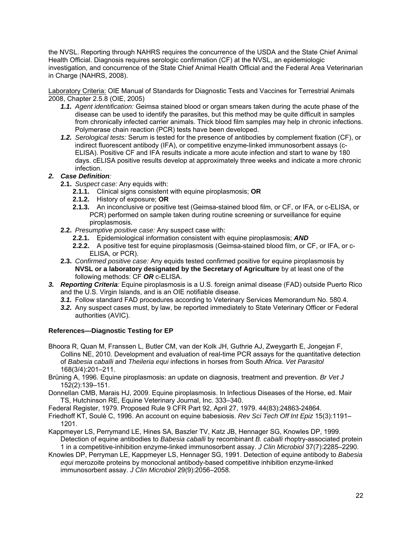the NVSL. Reporting through NAHRS requires the concurrence of the USDA and the State Chief Animal Health Official. Diagnosis requires serologic confirmation (CF) at the NVSL, an epidemiologic investigation, and concurrence of the State Chief Animal Health Official and the Federal Area Veterinarian in Charge (NAHRS, 2008).

Laboratory Criteria: OIE Manual of Standards for Diagnostic Tests and Vaccines for Terrestrial Animals 2008, Chapter 2.5.8 (OIE, 2005)

- *1.1. Agent identification:* Geimsa stained blood or organ smears taken during the acute phase of the disease can be used to identify the parasites, but this method may be quite difficult in samples from chronically infected carrier animals. Thick blood film samples may help in chronic infections. Polymerase chain reaction (PCR) tests have been developed.
- *1.2. Serological tests:* Serum is tested for the presence of antibodies by complement fixation (CF), or indirect fluorescent antibody (IFA), or competitive enzyme-linked immunosorbent assays (c-ELISA). Positive CF and IFA results indicate a more acute infection and start to wane by 180 days. cELISA positive results develop at approximately three weeks and indicate a more chronic infection.

#### *2. Case Definition:*

- **2.1.** *Suspect case:* Any equids with:
	- **2.1.1.** Clinical signs consistent with equine piroplasmosis; **OR**
	- **2.1.2.** History of exposure; **OR**
	- **2.1.3.** An inconclusive or positive test (Geimsa-stained blood film, or CF, or IFA, or c-ELISA, or PCR) performed on sample taken during routine screening or surveillance for equine piroplasmosis.
- **2.2.** *Presumptive positive case:* Any suspect case with:
	- **2.2.1.** Epidemiological information consistent with equine piroplasmosis; *AND*
	- **2.2.2.** A positive test for equine piroplasmosis (Geimsa-stained blood film, or CF, or IFA, or c-ELISA, or PCR).
- **2.3.** *Confirmed positive case:* Any equids tested confirmed positive for equine piroplasmosis by **NVSL or a laboratory designated by the Secretary of Agriculture** by at least one of the following methods: CF *OR* c-ELISA.
- *3. Reporting Criteria:* Equine piroplasmosis is a U.S. foreign animal disease (FAD) outside Puerto Rico and the U.S. Virgin Islands, and is an OIE notifiable disease.
	- **3.1.** Follow standard FAD procedures according to Veterinary Services Memorandum No. 580.4.
	- *3.2.* Any suspect cases must, by law, be reported immediately to State Veterinary Officer or Federal authorities (AVIC).

### **References—Diagnostic Testing for EP**

- Bhoora R, Quan M, Franssen L, Butler CM, van der Kolk JH, Guthrie AJ, Zweygarth E, Jongejan F, Collins NE, 2010. Development and evaluation of real-time PCR assays for the quantitative detection of *Babesia caballi* and *Theileria equi* infections in horses from South Africa. *Vet Parasitol* 168(3/4):201–211.
- Brüning A, 1996. Equine piroplasmosis: an update on diagnosis, treatment and prevention. *Br Vet J* 152(2):139–151.
- Donnellan CMB, Marais HJ, 2009. Equine piroplasmosis. In Infectious Diseases of the Horse, ed. Mair TS, Hutchinson RE, Equine Veterinary Journal, Inc. 333–340.

Federal Register, 1979. Proposed Rule 9 CFR Part 92, April 27, 1979. 44(83):24863-24864.

Friedhoff KT, Soulé C, 1996. An account on equine babesiosis. *Rev Sci Tech Off Int Epiz* 15(3):1191– 1201.

Kappmeyer LS, Perrymand LE, Hines SA, Baszler TV, Katz JB, Hennager SG, Knowles DP, 1999. Detection of equine antibodies to *Babesia caballi* by recombinant *B. caballi* rhoptry-associated protein 1 in a competitive-inhibition enzyme-linked immunosorbent assay. *J Clin Microbiol* 37(7):2285–2290.

Knowles DP, Perryman LE, Kappmeyer LS, Hennager SG, 1991. Detection of equine antibody to *Babesia equi* merozoite proteins by monoclonal antibody-based competitive inhibition enzyme-linked immunosorbent assay. *J Clin Microbiol* 29(9):2056–2058.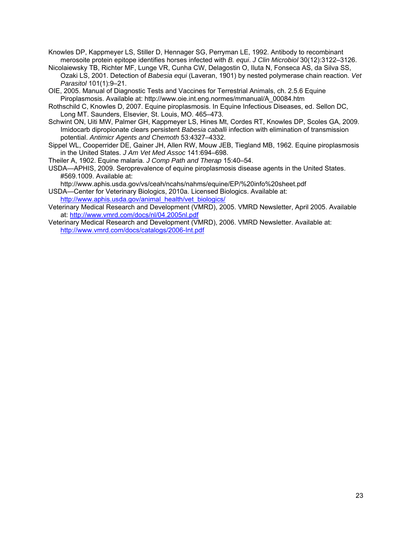Knowles DP, Kappmeyer LS, Stiller D, Hennager SG, Perryman LE, 1992. Antibody to recombinant merosoite protein epitope identifies horses infected with *B. equi*. *J Clin Microbiol* 30(12):3122–3126.

- Nicolaiewsky TB, Richter MF, Lunge VR, Cunha CW, Delagostin O, Iluta N, Fonseca AS, da Silva SS, Ozaki LS, 2001. Detection of *Babesia equi* (Laveran, 1901) by nested polymerase chain reaction. *Vet Parasitol* 101(1):9–21.
- OIE, 2005. Manual of Diagnostic Tests and Vaccines for Terrestrial Animals, ch. 2.5.6 Equine Piroplasmosis. Available at: http://www.oie.int.eng.normes/mmanual/A\_00084.htm
- Rothschild C, Knowles D, 2007. Equine piroplasmosis. In Equine Infectious Diseases, ed. Sellon DC, Long MT. Saunders, Elsevier, St. Louis, MO. 465–473.
- Schwint ON, Uiti MW, Palmer GH, Kappmeyer LS, Hines Mt, Cordes RT, Knowles DP, Scoles GA, 2009. Imidocarb dipropionate clears persistent *Babesia caballi* infection with elimination of transmission potential. *Antimicr Agents and Chemoth* 53:4327–4332.
- Sippel WL, Cooperrider DE, Gainer JH, Allen RW, Mouw JEB, Tiegland MB, 1962. Equine piroplasmosis in the United States. *J Am Vet Med Assoc* 141:694–698.
- Theiler A, 1902. Equine malaria. *J Comp Path and Therap* 15:40–54.
- USDA—APHIS, 2009. Seroprevalence of equine piroplasmosis disease agents in the United States. #569.1009. Available at:

http://www.aphis.usda.gov/vs/ceah/ncahs/nahms/equine/EP/%20info%20sheet.pdf USDA—Center for Veterinary Biologics, 2010a. Licensed Biologics. Available at:

http://www.aphis.usda.gov/animal\_health/vet\_biologics/

- Veterinary Medical Research and Development (VMRD), 2005. VMRD Newsletter, April 2005. Available at: http://www.vmrd.com/docs/nl/04.2005nl.pdf
- Veterinary Medical Research and Development (VMRD), 2006. VMRD Newsletter. Available at: http://www.vmrd.com/docs/catalogs/2006-Int.pdf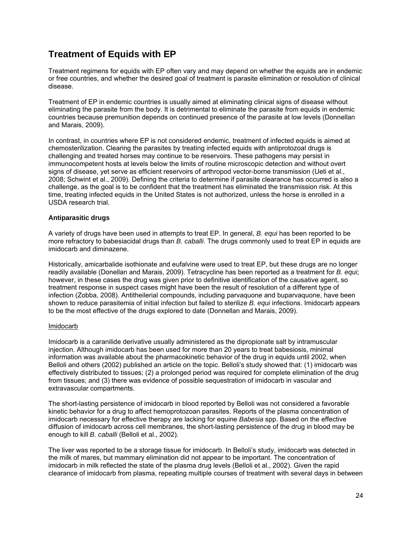### **Treatment of Equids with EP**

Treatment regimens for equids with EP often vary and may depend on whether the equids are in endemic or free countries, and whether the desired goal of treatment is parasite elimination or resolution of clinical disease.

Treatment of EP in endemic countries is usually aimed at eliminating clinical signs of disease without eliminating the parasite from the body. It is detrimental to eliminate the parasite from equids in endemic countries because premunition depends on continued presence of the parasite at low levels (Donnellan and Marais, 2009).

In contrast, in countries where EP is not considered endemic, treatment of infected equids is aimed at chemosterilization. Clearing the parasites by treating infected equids with antiprotozoal drugs is challenging and treated horses may continue to be reservoirs. These pathogens may persist in immunocompetent hosts at levels below the limits of routine microscopic detection and without overt signs of disease, yet serve as efficient reservoirs of arthropod vector-borne transmission (Ueti et al., 2008; Schwint et al., 2009). Defining the criteria to determine if parasite clearance has occurred is also a challenge, as the goal is to be confident that the treatment has eliminated the transmission risk. At this time, treating infected equids in the United States is not authorized, unless the horse is enrolled in a USDA research trial.

#### **Antiparasitic drugs**

A variety of drugs have been used in attempts to treat EP. In general, *B. equi* has been reported to be more refractory to babesiacidal drugs than *B. caballi*. The drugs commonly used to treat EP in equids are imidocarb and diminazene.

Historically, amicarbalide isothionate and eufalvine were used to treat EP, but these drugs are no longer readily available (Donellan and Marais, 2009). Tetracycline has been reported as a treatment for *B. equi*; however, in these cases the drug was given prior to definitive identification of the causative agent, so treatment response in suspect cases might have been the result of resolution of a different type of infection (Zobba, 2008). Antitheilerial compounds, including parvaquone and buparvaquone, have been shown to reduce parasitemia of initial infection but failed to sterilize *B. equi* infections. Imidocarb appears to be the most effective of the drugs explored to date (Donnellan and Marais, 2009).

#### Imidocarb

Imidocarb is a caranilide derivative usually administered as the dipropionate salt by intramuscular injection. Although imidocarb has been used for more than 20 years to treat babesiosis, minimal information was available about the pharmacokinetic behavior of the drug in equids until 2002, when Belloli and others (2002) published an article on the topic. Belloli's study showed that: (1) imidocarb was effectively distributed to tissues; (2) a prolonged period was required for complete elimination of the drug from tissues; and (3) there was evidence of possible sequestration of imidocarb in vascular and extravascular compartments.

The short-lasting persistence of imidocarb in blood reported by Belloli was not considered a favorable kinetic behavior for a drug to affect hemoprotozoan parasites. Reports of the plasma concentration of imidocarb necessary for effective therapy are lacking for equine *Babesia* spp. Based on the effective diffusion of imidocarb across cell membranes, the short-lasting persistence of the drug in blood may be enough to kill *B. caballi* (Belloli et al., 2002)*.* 

The liver was reported to be a storage tissue for imidocarb. In Belloli's study, imidocarb was detected in the milk of mares, but mammary elimination did not appear to be important. The concentration of imidocarb in milk reflected the state of the plasma drug levels (Belloli et al., 2002). Given the rapid clearance of imidocarb from plasma, repeating multiple courses of treatment with several days in between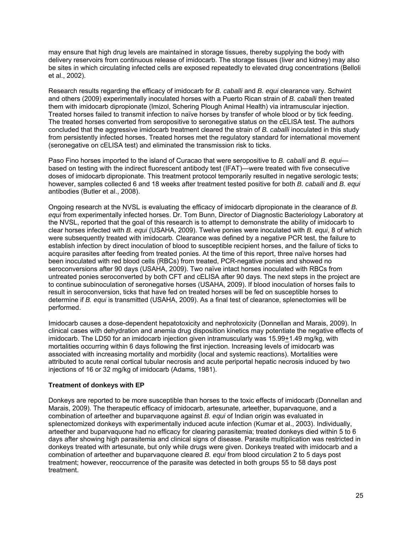may ensure that high drug levels are maintained in storage tissues, thereby supplying the body with delivery reservoirs from continuous release of imidocarb. The storage tissues (liver and kidney) may also be sites in which circulating infected cells are exposed repeatedly to elevated drug concentrations (Belloli et al., 2002).

Research results regarding the efficacy of imidocarb for *B. caballi* and *B. equi* clearance vary. Schwint and others (2009) experimentally inoculated horses with a Puerto Rican strain of *B. caballi* then treated them with imidocarb dipropionate (Imizol, Schering Plough Animal Health) via intramuscular injection. Treated horses failed to transmit infection to naïve horses by transfer of whole blood or by tick feeding. The treated horses converted from seropositive to seronegative status on the cELISA test. The authors concluded that the aggressive imidocarb treatment cleared the strain of *B. caballi* inoculated in this study from persistently infected horses. Treated horses met the regulatory standard for international movement (seronegative on cELISA test) and eliminated the transmission risk to ticks.

Paso Fino horses imported to the island of Curacao that were seropositive to *B. caballi* and *B. equi* based on testing with the indirect fluorescent antibody test (IFAT)—were treated with five consecutive doses of imidocarb dipropionate. This treatment protocol temporarily resulted in negative serologic tests; however, samples collected 6 and 18 weeks after treatment tested positive for both *B. caballi* and *B. equi* antibodies (Butler et al., 2008).

Ongoing research at the NVSL is evaluating the efficacy of imidocarb dipropionate in the clearance of *B. equi* from experimentally infected horses. Dr. Tom Bunn, Director of Diagnostic Bacteriology Laboratory at the NVSL, reported that the goal of this research is to attempt to demonstrate the ability of imidocarb to clear horses infected with *B. equi* (USAHA, 2009). Twelve ponies were inoculated with *B. equi*, 8 of which were subsequently treated with imidocarb*.* Clearance was defined by a negative PCR test, the failure to establish infection by direct inoculation of blood to susceptible recipient horses, and the failure of ticks to acquire parasites after feeding from treated ponies. At the time of this report, three naïve horses had been inoculated with red blood cells (RBCs) from treated, PCR-negative ponies and showed no seroconversions after 90 days (USAHA, 2009). Two naïve intact horses inoculated with RBCs from untreated ponies seroconverted by both CFT and cELISA after 90 days. The next steps in the project are to continue subinoculation of seronegative horses (USAHA, 2009). If blood inoculation of horses fails to result in seroconversion, ticks that have fed on treated horses will be fed on susceptible horses to determine if *B. equi* is transmitted (USAHA, 2009). As a final test of clearance, splenectomies will be performed.

Imidocarb causes a dose-dependent hepatotoxicity and nephrotoxicity (Donnellan and Marais, 2009). In clinical cases with dehydration and anemia drug disposition kinetics may potentiate the negative effects of imidocarb. The LD50 for an imidocarb injection given intramuscularly was 15.99+1.49 mg/kg, with mortalities occurring within 6 days following the first injection. Increasing levels of imidocarb was associated with increasing mortality and morbidity (local and systemic reactions). Mortalities were attributed to acute renal cortical tubular necrosis and acute periportal hepatic necrosis induced by two injections of 16 or 32 mg/kg of imidocarb (Adams, 1981).

#### **Treatment of donkeys with EP**

Donkeys are reported to be more susceptible than horses to the toxic effects of imidocarb (Donnellan and Marais, 2009). The therapeutic efficacy of imidocarb, artesunate, arteether, buparvaquone, and a combination of arteether and buparvaquone against *B. equi* of Indian origin was evaluated in splenectomized donkeys with experimentally induced acute infection (Kumar et al., 2003). Individually, arteether and buparvaquone had no efficacy for clearing parasitemia; treated donkeys died within 5 to 6 days after showing high parasitemia and clinical signs of disease. Parasite multiplication was restricted in donkeys treated with artesunate, but only while drugs were given. Donkeys treated with imidocarb and a combination of arteether and buparvaquone cleared *B. equi* from blood circulation 2 to 5 days post treatment; however, reoccurrence of the parasite was detected in both groups 55 to 58 days post treatment.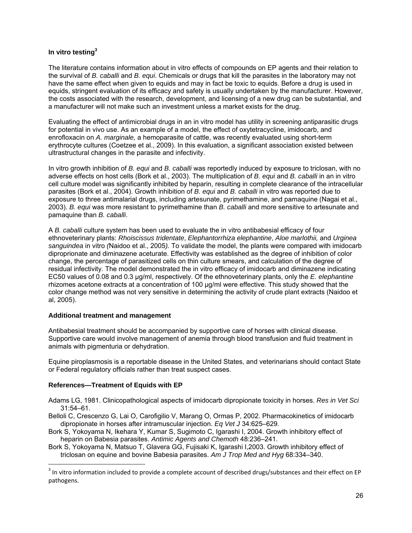#### **In vitro testing3**

The literature contains information about in vitro effects of compounds on EP agents and their relation to the survival of *B. caballi* and *B. equi*. Chemicals or drugs that kill the parasites in the laboratory may not have the same effect when given to equids and may in fact be toxic to equids. Before a drug is used in equids, stringent evaluation of its efficacy and safety is usually undertaken by the manufacturer. However, the costs associated with the research, development, and licensing of a new drug can be substantial, and a manufacturer will not make such an investment unless a market exists for the drug.

Evaluating the effect of antimicrobial drugs in an in vitro model has utility in screening antiparasitic drugs for potential in vivo use. As an example of a model, the effect of oxytetracycline, imidocarb, and enrofloxacin on *A. marginale,* a hemoparasite of cattle, was recently evaluated using short-term erythrocyte cultures (Coetzee et al., 2009). In this evaluation, a significant association existed between ultrastructural changes in the parasite and infectivity.

In vitro growth inhibition of *B. equi* and *B. caballi* was reportedly induced by exposure to triclosan, with no adverse effects on host cells (Bork et al., 2003). The multiplication of *B. equi* and *B. caballi* in an in vitro cell culture model was significantly inhibited by heparin, resulting in complete clearance of the intracellular parasites (Bork et al., 2004). Growth inhibition of *B. equi* and *B. caballi* in vitro was reported due to exposure to three antimalarial drugs, including artesunate, pyrimethamine, and pamaquine (Nagai et al., 2003). *B. equi* was more resistant to pyrimethamine than *B. caballi* and more sensitive to artesunate and pamaquine than *B. caballi*.

A *B. caballi* culture system has been used to evaluate the in vitro antibabesial efficacy of four ethnoveterinary plants: *Rhoiscissus tridentate*, *Elephantorrhiza elephantine*, *Aloe marlothii,* and *Urginea sanguindea* in vitro *(*Naidoo et al., 2005*).* To validate the model, the plants were compared with imidocarb diproprionate and diminazene aceturate. Effectivity was established as the degree of inhibition of color change, the percentage of parasitized cells on thin culture smears, and calculation of the degree of residual infectivity. The model demonstrated the in vitro efficacy of imidocarb and diminazene indicating EC50 values of 0.08 and 0.3 µg/ml, respectively. Of the ethnoveterinary plants, only the *E. elephantine* rhizomes acetone extracts at a concentration of 100 µg/ml were effective. This study showed that the color change method was not very sensitive in determining the activity of crude plant extracts (Naidoo et al, 2005).

#### **Additional treatment and management**

Antibabesial treatment should be accompanied by supportive care of horses with clinical disease. Supportive care would involve management of anemia through blood transfusion and fluid treatment in animals with pigmenturia or dehydration.

Equine piroplasmosis is a reportable disease in the United States, and veterinarians should contact State or Federal regulatory officials rather than treat suspect cases.

#### **References—Treatment of Equids with EP**

 $\overline{a}$ 

Adams LG, 1981. Clinicopathological aspects of imidocarb dipropionate toxicity in horses. *Res in Vet Sci* 31:54–61.

- Belloli C, Crescenzo G, Lai O, Carofigilio V, Marang O, Ormas P, 2002. Pharmacokinetics of imidocarb dipropionate in horses after intramuscular injection. *Eq Vet J* 34:625–629.
- Bork S, Yokoyama N, Ikehara Y, Kumar S, Sugimoto C, Igarashi I, 2004. Growth inhibitory effect of heparin on Babesia parasites. *Antimic Agents and Chemoth* 48:236–241.
- Bork S, Yokoyama N, Matsuo T, Glavera GG, Fujisaki K, Igarashi I,2003. Growth inhibitory effect of triclosan on equine and bovine Babesia parasites. *Am J Trop Med and Hyg* 68:334–340.

<sup>&</sup>lt;sup>3</sup> In vitro information included to provide a complete account of described drugs/substances and their effect on EP pathogens.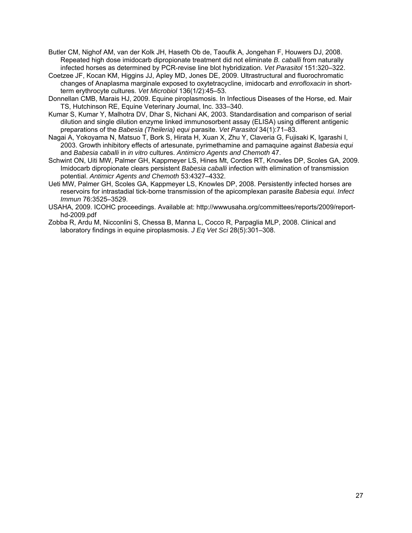- Butler CM, Nighof AM, van der Kolk JH, Haseth Ob de, Taoufik A, Jongehan F, Houwers DJ, 2008. Repeated high dose imidocarb dipropionate treatment did not eliminate *B. caballi* from naturally infected horses as determined by PCR-revise line blot hybridization. *Vet Parasitol* 151:320–322.
- Coetzee JF, Kocan KM, Higgins JJ, Apley MD, Jones DE, 2009. Ultrastructural and fluorochromatic changes of Anaplasma marginale exposed to oxytetracycline, imidocarb and *enrofloxacin* in shortterm erythrocyte cultures. *Vet Microbiol* 136(1/2):45–53.
- Donnellan CMB, Marais HJ, 2009. Equine piroplasmosis. In Infectious Diseases of the Horse, ed. Mair TS, Hutchinson RE, Equine Veterinary Journal, Inc. 333–340.
- Kumar S, Kumar Y, Malhotra DV, Dhar S, Nichani AK, 2003. Standardisation and comparison of serial dilution and single dilution enzyme linked immunosorbent assay (ELISA) using different antigenic preparations of the *Babesia (Theileria) equi* parasite. *Vet Parasitol* 34(1):71–83.
- Nagai A, Yokoyama N, Matsuo T, Bork S, Hirata H, Xuan X, Zhu Y, Claveria G, Fujisaki K, Igarashi I, 2003. Growth inhibitory effects of artesunate, pyrimethamine and pamaquine against *Babesia equi* and *Babesia caballi* in *in vitro* cultures. *Antimicro Agents and Chemoth* 47.
- Schwint ON, Uiti MW, Palmer GH, Kappmeyer LS, Hines Mt, Cordes RT, Knowles DP, Scoles GA, 2009. Imidocarb dipropionate clears persistent *Babesia caballi* infection with elimination of transmission potential. *Antimicr Agents and Chemoth* 53:4327–4332.
- Ueti MW, Palmer GH, Scoles GA, Kappmeyer LS, Knowles DP, 2008. Persistently infected horses are reservoirs for intrastadial tick-borne transmission of the apicomplexan parasite *Babesia equi. Infect Immun* 76:3525–3529.
- USAHA, 2009. ICOHC proceedings. Available at: http://wwwusaha.org/committees/reports/2009/reporthd-2009.pdf
- Zobba R, Ardu M, Nicconlini S, Chessa B, Manna L, Cocco R, Parpaglia MLP, 2008. Clinical and laboratory findings in equine piroplasmosis. *J Eq Vet Sci* 28(5):301–308.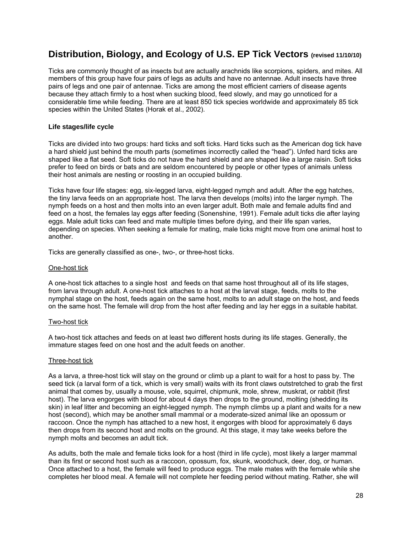### **Distribution, Biology, and Ecology of U.S. EP Tick Vectors (revised 11/10/10)**

Ticks are commonly thought of as insects but are actually arachnids like scorpions, spiders, and mites. All members of this group have four pairs of legs as adults and have no antennae. Adult insects have three pairs of legs and one pair of antennae. Ticks are among the most efficient carriers of disease agents because they attach firmly to a host when sucking blood, feed slowly, and may go unnoticed for a considerable time while feeding. There are at least 850 tick species worldwide and approximately 85 tick species within the United States (Horak et al., 2002).

#### **Life stages/life cycle**

Ticks are divided into two groups: hard ticks and soft ticks. Hard ticks such as the American dog tick have a hard shield just behind the mouth parts (sometimes incorrectly called the "head"). Unfed hard ticks are shaped like a flat seed. Soft ticks do not have the hard shield and are shaped like a large raisin. Soft ticks prefer to feed on birds or bats and are seldom encountered by people or other types of animals unless their host animals are nesting or roosting in an occupied building.

Ticks have four life stages: egg, six-legged larva, eight-legged nymph and adult. After the egg hatches, the tiny larva feeds on an appropriate host. The larva then develops (molts) into the larger nymph. The nymph feeds on a host and then molts into an even larger adult. Both male and female adults find and feed on a host, the females lay eggs after feeding (Sonenshine, 1991). Female adult ticks die after laying eggs. Male adult ticks can feed and mate multiple times before dying, and their life span varies, depending on species. When seeking a female for mating, male ticks might move from one animal host to another.

Ticks are generally classified as one-, two-, or three-host ticks.

#### One-host tick

A one-host tick attaches to a single host and feeds on that same host throughout all of its life stages, from larva through adult. A one-host tick attaches to a host at the larval stage, feeds, molts to the nymphal stage on the host, feeds again on the same host, molts to an adult stage on the host, and feeds on the same host. The female will drop from the host after feeding and lay her eggs in a suitable habitat.

#### Two-host tick

A two-host tick attaches and feeds on at least two different hosts during its life stages. Generally, the immature stages feed on one host and the adult feeds on another.

#### Three-host tick

As a larva, a three-host tick will stay on the ground or climb up a plant to wait for a host to pass by. The seed tick (a larval form of a tick, which is very small) waits with its front claws outstretched to grab the first animal that comes by, usually a mouse, vole, squirrel, chipmunk, mole, shrew, muskrat, or rabbit (first host). The larva engorges with blood for about 4 days then drops to the ground, molting (shedding its skin) in leaf litter and becoming an eight-legged nymph. The nymph climbs up a plant and waits for a new host (second), which may be another small mammal or a moderate-sized animal like an opossum or raccoon. Once the nymph has attached to a new host, it engorges with blood for approximately 6 days then drops from its second host and molts on the ground. At this stage, it may take weeks before the nymph molts and becomes an adult tick.

As adults, both the male and female ticks look for a host (third in life cycle), most likely a larger mammal than its first or second host such as a raccoon, opossum, fox, skunk, woodchuck, deer, dog, or human. Once attached to a host, the female will feed to produce eggs. The male mates with the female while she completes her blood meal. A female will not complete her feeding period without mating. Rather, she will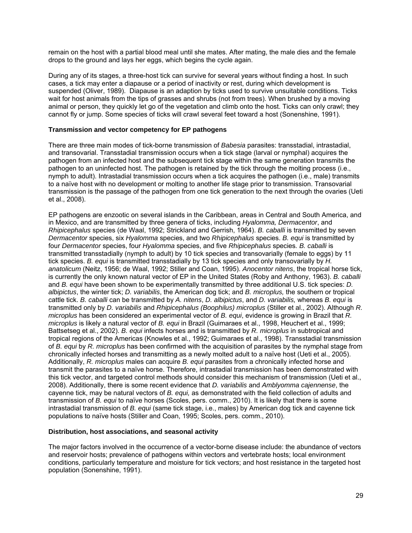remain on the host with a partial blood meal until she mates. After mating, the male dies and the female drops to the ground and lays her eggs, which begins the cycle again.

During any of its stages, a three-host tick can survive for several years without finding a host. In such cases, a tick may enter a diapause or a period of inactivity or rest, during which development is suspended (Oliver, 1989). Diapause is an adaption by ticks used to survive unsuitable conditions. Ticks wait for host animals from the tips of grasses and shrubs (not from trees). When brushed by a moving animal or person, they quickly let go of the vegetation and climb onto the host. Ticks can only crawl; they cannot fly or jump. Some species of ticks will crawl several feet toward a host (Sonenshine, 1991).

#### **Transmission and vector competency for EP pathogens**

There are three main modes of tick-borne transmission of *Babesia* parasites: transstadial, intrastadial, and transovarial. Transstadial transmission occurs when a tick stage (larval or nymphal) acquires the pathogen from an infected host and the subsequent tick stage within the same generation transmits the pathogen to an uninfected host. The pathogen is retained by the tick through the molting process (i.e., nymph to adult). Intrastadial transmission occurs when a tick acquires the pathogen (i.e., male) transmits to a naïve host with no development or molting to another life stage prior to transmission. Transovarial transmission is the passage of the pathogen from one tick generation to the next through the ovaries (Ueti et al., 2008).

EP pathogens are enzootic on several islands in the Caribbean, areas in Central and South America, and in Mexico, and are transmitted by three genera of ticks, including *Hyalomma, Dermacentor*, and *Rhipicephalus* species (de Waal, 1992; Strickland and Gerrish, 1964). *B. caballi* is transmitted by seven *Dermacentor* species, six *Hyalomma* species, and two *Rhipicephalus* species. *B. equi* is transmitted by four *Dermacentor* species, four *Hyalomma* species, and five *Rhipicephalus* species*. B. caballi* is transmitted transstadially (nymph to adult) by 10 tick species and transovarially (female to eggs) by 11 tick species. *B. equi* is transmitted transstadially by 13 tick species and only transovarially by *H. anatolicum* (Neitz, 1956; de Waal, 1992; Stiller and Coan, 1995). *Anocentor nitens*, the tropical horse tick, is currently the only known natural vector of EP in the United States (Roby and Anthony, 1963). *B. caballi* and *B. equi* have been shown to be experimentally transmitted by three additional U.S. tick species: *D. albipictus*, the winter tick; *D. variabilis*, the American dog tick; and *B. microplus,* the southern or tropical cattle tick. *B. caballi* can be transmitted by *A. nitens*, *D. albipictus*, and *D. variabilis,* whereas *B. equi* is transmitted only by *D. variabilis* and *Rhipicephalus (Boophilus) microplus* (Stiller et al., 2002). Although *R. microplus* has been considered an experimental vector of *B. equi*, evidence is growing in Brazil that *R. microplus* is likely a natural vector of *B. equi* in Brazil (Guimaraes et al., 1998, Heuchert et al., 1999; Battsetseg et al., 2002). *B. equi* infects horses and is transmitted by *R. microplus* in subtropical and tropical regions of the Americas (Knowles et al., 1992; Guimaraes et al., 1998). Transstadial transmission of *B. equi* by *R. microplus* has been confirmed with the acquisition of parasites by the nymphal stage from chronically infected horses and transmitting as a newly molted adult to a naïve host (Ueti et al., 2005). Additionally, *R. microplus* males can acquire *B. equi* parasites from a chronically infected horse and transmit the parasites to a naïve horse. Therefore, intrastadial transmission has been demonstrated with this tick vector, and targeted control methods should consider this mechanism of transmission (Ueti et al., 2008). Additionally, there is some recent evidence that *D. variabilis* and *Amblyomma cajennense*, the cayenne tick, may be natural vectors of *B. equi,* as demonstrated with the field collection of adults and transmission of *B. equi* to naïve horses (Scoles, pers. comm., 2010). It is likely that there is some intrastadial transmission of *B. equi* (same tick stage, i.e., males) by American dog tick and cayenne tick populations to naïve hosts (Stiller and Coan, 1995; Scoles, pers. comm., 2010).

#### **Distribution, host associations, and seasonal activity**

The major factors involved in the occurrence of a vector-borne disease include: the abundance of vectors and reservoir hosts; prevalence of pathogens within vectors and vertebrate hosts; local environment conditions, particularly temperature and moisture for tick vectors; and host resistance in the targeted host population (Sonenshine, 1991).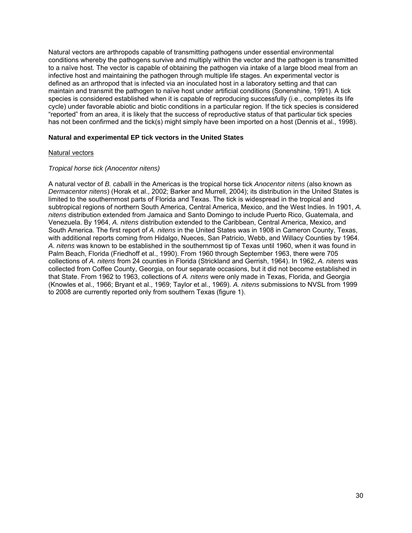Natural vectors are arthropods capable of transmitting pathogens under essential environmental conditions whereby the pathogens survive and multiply within the vector and the pathogen is transmitted to a naïve host. The vector is capable of obtaining the pathogen via intake of a large blood meal from an infective host and maintaining the pathogen through multiple life stages. An experimental vector is defined as an arthropod that is infected via an inoculated host in a laboratory setting and that can maintain and transmit the pathogen to naïve host under artificial conditions (Sonenshine, 1991). A tick species is considered established when it is capable of reproducing successfully (i.e., completes its life cycle) under favorable abiotic and biotic conditions in a particular region. If the tick species is considered "reported" from an area, it is likely that the success of reproductive status of that particular tick species has not been confirmed and the tick(s) might simply have been imported on a host (Dennis et al., 1998).

#### **Natural and experimental EP tick vectors in the United States**

#### Natural vectors

#### *Tropical horse tick (Anocentor nitens)*

A natural vector of *B. caballi* in the Americas is the tropical horse tick *Anocentor nitens* (also known as *Dermacentor nitens*) (Horak et al., 2002; Barker and Murrell, 2004); its distribution in the United States is limited to the southernmost parts of Florida and Texas. The tick is widespread in the tropical and subtropical regions of northern South America, Central America, Mexico, and the West Indies. In 1901, *A. nitens* distribution extended from Jamaica and Santo Domingo to include Puerto Rico, Guatemala, and Venezuela. By 1964, *A. nitens* distribution extended to the Caribbean, Central America, Mexico, and South America. The first report of *A. nitens* in the United States was in 1908 in Cameron County, Texas, with additional reports coming from Hidalgo, Nueces, San Patricio, Webb, and Willacy Counties by 1964. *A. nitens* was known to be established in the southernmost tip of Texas until 1960, when it was found in Palm Beach, Florida (Friedhoff et al., 1990). From 1960 through September 1963, there were 705 collections of *A. nitens* from 24 counties in Florida (Strickland and Gerrish, 1964). In 1962, *A. nitens* was collected from Coffee County, Georgia, on four separate occasions, but it did not become established in that State. From 1962 to 1963, collections of *A. nitens* were only made in Texas, Florida, and Georgia (Knowles et al., 1966; Bryant et al., 1969; Taylor et al., 1969). *A. nitens* submissions to NVSL from 1999 to 2008 are currently reported only from southern Texas (figure 1).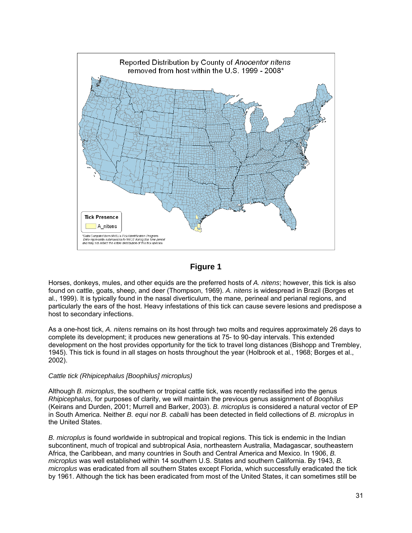

### **Figure 1**

Horses, donkeys, mules, and other equids are the preferred hosts of *A. nitens*; however, this tick is also found on cattle, goats, sheep, and deer (Thompson, 1969). *A. nitens* is widespread in Brazil (Borges et al., 1999). It is typically found in the nasal diverticulum, the mane, perineal and perianal regions, and particularly the ears of the host. Heavy infestations of this tick can cause severe lesions and predispose a host to secondary infections.

As a one-host tick, *A. nitens* remains on its host through two molts and requires approximately 26 days to complete its development; it produces new generations at 75- to 90-day intervals. This extended development on the host provides opportunity for the tick to travel long distances (Bishopp and Trembley, 1945). This tick is found in all stages on hosts throughout the year (Holbrook et al., 1968; Borges et al., 2002).

#### *Cattle tick (Rhipicephalus [Boophilus] microplus)*

Although *B. microplus*, the southern or tropical cattle tick, was recently reclassified into the genus *Rhipicephalus*, for purposes of clarity, we will maintain the previous genus assignment of *Boophilus* (Keirans and Durden, 2001; Murrell and Barker, 2003). *B. microplus* is considered a natural vector of EP in South America. Neither *B. equi* nor *B. caballi* has been detected in field collections of *B. microplus* in the United States.

*B. microplus* is found worldwide in subtropical and tropical regions. This tick is endemic in the Indian subcontinent, much of tropical and subtropical Asia, northeastern Australia, Madagascar, southeastern Africa, the Caribbean, and many countries in South and Central America and Mexico. In 1906, *B. microplus* was well established within 14 southern U.S. States and southern California. By 1943, *B. microplus* was eradicated from all southern States except Florida, which successfully eradicated the tick by 1961. Although the tick has been eradicated from most of the United States, it can sometimes still be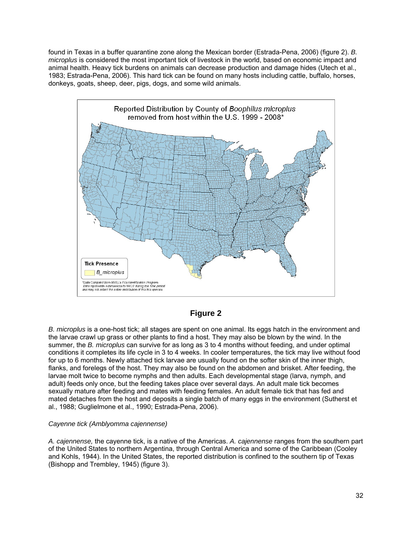found in Texas in a buffer quarantine zone along the Mexican border (Estrada-Pena, 2006) (figure 2). *B. microplus* is considered the most important tick of livestock in the world, based on economic impact and animal health. Heavy tick burdens on animals can decrease production and damage hides (Utech et al., 1983; Estrada-Pena, 2006). This hard tick can be found on many hosts including cattle, buffalo, horses, donkeys, goats, sheep, deer, pigs, dogs, and some wild animals.



### **Figure 2**

*B. microplus* is a one-host tick; all stages are spent on one animal. Its eggs hatch in the environment and the larvae crawl up grass or other plants to find a host. They may also be blown by the wind. In the summer, the *B. microplus* can survive for as long as 3 to 4 months without feeding, and under optimal conditions it completes its life cycle in 3 to 4 weeks. In cooler temperatures, the tick may live without food for up to 6 months. Newly attached tick larvae are usually found on the softer skin of the inner thigh, flanks, and forelegs of the host. They may also be found on the abdomen and brisket. After feeding, the larvae molt twice to become nymphs and then adults. Each developmental stage (larva, nymph, and adult) feeds only once, but the feeding takes place over several days. An adult male tick becomes sexually mature after feeding and mates with feeding females. An adult female tick that has fed and mated detaches from the host and deposits a single batch of many eggs in the environment (Sutherst et al., 1988; Guglielmone et al., 1990; Estrada-Pena, 2006).

#### *Cayenne tick (Amblyomma cajennense)*

*A. cajennense,* the cayenne tick, is a native of the Americas. *A. cajennense* ranges from the southern part of the United States to northern Argentina, through Central America and some of the Caribbean (Cooley and Kohls, 1944). In the United States, the reported distribution is confined to the southern tip of Texas (Bishopp and Trembley, 1945) (figure 3).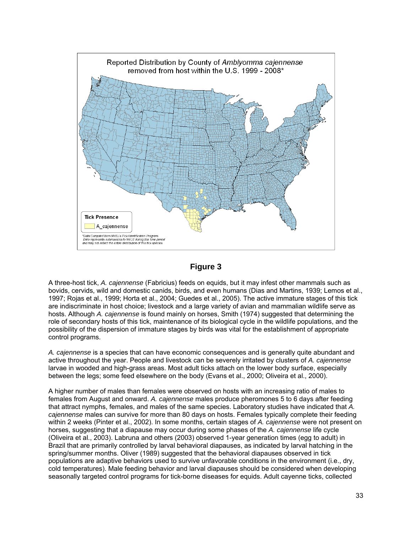

**Figure 3** 

A three-host tick, *A. cajennense* (Fabricius) feeds on equids, but it may infest other mammals such as bovids, cervids, wild and domestic canids, birds, and even humans (Dias and Martins, 1939; Lemos et al., 1997; Rojas et al., 1999; Horta et al., 2004; Guedes et al., 2005). The active immature stages of this tick are indiscriminate in host choice; livestock and a large variety of avian and mammalian wildlife serve as hosts. Although *A. cajennense* is found mainly on horses, Smith (1974) suggested that determining the role of secondary hosts of this tick, maintenance of its biological cycle in the wildlife populations, and the possibility of the dispersion of immature stages by birds was vital for the establishment of appropriate control programs.

*A. cajennense* is a species that can have economic consequences and is generally quite abundant and active throughout the year. People and livestock can be severely irritated by clusters of *A. cajennense* larvae in wooded and high-grass areas. Most adult ticks attach on the lower body surface, especially between the legs; some feed elsewhere on the body (Evans et al., 2000; Oliveira et al., 2000).

A higher number of males than females were observed on hosts with an increasing ratio of males to females from August and onward. *A. cajennense* males produce pheromones 5 to 6 days after feeding that attract nymphs, females, and males of the same species. Laboratory studies have indicated that *A. cajennense* males can survive for more than 80 days on hosts. Females typically complete their feeding within 2 weeks (Pinter et al., 2002). In some months, certain stages of *A. cajennense* were not present on horses, suggesting that a diapause may occur during some phases of the *A. cajennense* life cycle (Oliveira et al., 2003). Labruna and others (2003) observed 1-year generation times (egg to adult) in Brazil that are primarily controlled by larval behavioral diapauses, as indicated by larval hatching in the spring/summer months. Oliver (1989) suggested that the behavioral diapauses observed in tick populations are adaptive behaviors used to survive unfavorable conditions in the environment (i.e., dry, cold temperatures). Male feeding behavior and larval diapauses should be considered when developing seasonally targeted control programs for tick-borne diseases for equids. Adult cayenne ticks, collected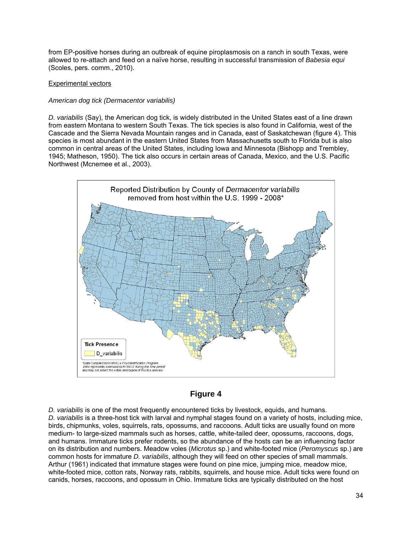from EP-positive horses during an outbreak of equine piroplasmosis on a ranch in south Texas, were allowed to re-attach and feed on a naïve horse, resulting in successful transmission of *Babesia equi* (Scoles, pers. comm., 2010).

#### Experimental vectors

#### *American dog tick (Dermacentor variabilis)*

*D. variabilis* (Say), the American dog tick, is widely distributed in the United States east of a line drawn from eastern Montana to western South Texas. The tick species is also found in California, west of the Cascade and the Sierra Nevada Mountain ranges and in Canada, east of Saskatchewan (figure 4). This species is most abundant in the eastern United States from Massachusetts south to Florida but is also common in central areas of the United States, including Iowa and Minnesota (Bishopp and Trembley, 1945; Matheson, 1950). The tick also occurs in certain areas of Canada, Mexico, and the U.S. Pacific Northwest (Mcnemee et al., 2003).



### **Figure 4**

*D. variabilis* is one of the most frequently encountered ticks by livestock, equids, and humans. *D. variabilis* is a three-host tick with larval and nymphal stages found on a variety of hosts, including mice, birds, chipmunks, voles, squirrels, rats, opossums, and raccoons. Adult ticks are usually found on more medium- to large-sized mammals such as horses, cattle, white-tailed deer, opossums, raccoons, dogs, and humans. Immature ticks prefer rodents, so the abundance of the hosts can be an influencing factor on its distribution and numbers. Meadow voles (*Microtus* sp.) and white-footed mice (*Peromyscus* sp.) are common hosts for immature *D. variabilis*, although they will feed on other species of small mammals. Arthur (1961) indicated that immature stages were found on pine mice, jumping mice, meadow mice, white-footed mice, cotton rats, Norway rats, rabbits, squirrels, and house mice. Adult ticks were found on canids, horses, raccoons, and opossum in Ohio. Immature ticks are typically distributed on the host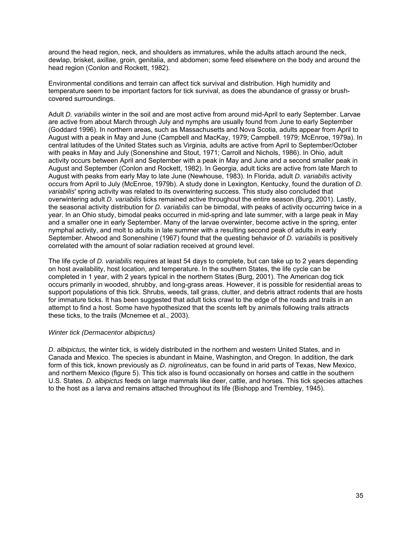around the head region, neck, and shoulders as immatures, while the adults attach around the neck, dewlap, brisket, axillae, groin, genitalia, and abdomen; some feed elsewhere on the body and around the head region (Conlon and Rockett, 1982).

Environmental conditions and terrain can affect tick survival and distribution. High humidity and temperature seem to be important factors for tick survival, as does the abundance of grassy or brushcovered surroundings.

Adult *D. variabilis* winter in the soil and are most active from around mid-April to early September. Larvae are active from about March through July and nymphs are usually found from June to early September (Goddard 1996). In northern areas, such as Massachusetts and Nova Scotia, adults appear from April to August with a peak in May and June (Campbell and MacKay, 1979; Campbell. 1979; McEnroe, 1979a). In central latitudes of the United States such as Virginia, adults are active from April to September/October with peaks in May and July (Sonenshine and Stout, 1971; Carroll and Nichols, 1986). In Ohio, adult activity occurs between April and September with a peak in May and June and a second smaller peak in August and September (Conlon and Rockett, 1982). In Georgia, adult ticks are active from late March to August with peaks from early May to late June (Newhouse, 1983). In Florida, adult *D. variabilis* activity occurs from April to July (McEnroe, 1979b). A study done in Lexington, Kentucky, found the duration of *D. variabilis*' spring activity was related to its overwintering success. This study also concluded that overwintering adult *D. variabilis* ticks remained active throughout the entire season (Burg, 2001). Lastly, the seasonal activity distribution for *D. variabilis* can be bimodal, with peaks of activity occurring twice in a year. In an Ohio study, bimodal peaks occurred in mid-spring and late summer, with a large peak in May and a smaller one in early September. Many of the larvae overwinter, become active in the spring, enter nymphal activity, and molt to adults in late summer with a resulting second peak of adults in early September. Atwood and Sonenshine (1967) found that the questing behavior of *D. variabilis* is positively correlated with the amount of solar radiation received at ground level.

The life cycle of *D. variabilis* requires at least 54 days to complete, but can take up to 2 years depending on host availability, host location, and temperature. In the southern States, the life cycle can be completed in 1 year, with 2 years typical in the northern States (Burg, 2001). The American dog tick occurs primarily in wooded, shrubby, and long-grass areas. However, it is possible for residential areas to support populations of this tick. Shrubs, weeds, tall grass, clutter, and debris attract rodents that are hosts for immature ticks. It has been suggested that adult ticks crawl to the edge of the roads and trails in an attempt to find a host. Some have hypothesized that the scents left by animals following trails attracts these ticks, to the trails (Mcnemee et al., 2003).

#### *Winter tick (Dermacentor albipictus)*

*D. albipictus,* the winter tick, is widely distributed in the northern and western United States, and in Canada and Mexico. The species is abundant in Maine, Washington, and Oregon. In addition, the dark form of this tick, known previously as *D. nigrolineatus*, can be found in arid parts of Texas, New Mexico, and northern Mexico (figure 5). This tick also is found occasionally on horses and cattle in the southern U.S. States. *D. albipictus* feeds on large mammals like deer, cattle, and horses. This tick species attaches to the host as a larva and remains attached throughout its life (Bishopp and Trembley, 1945).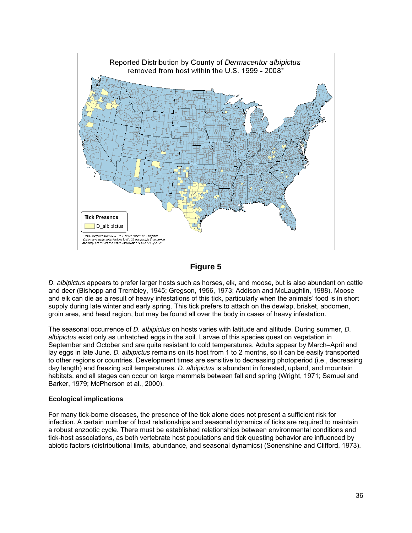

### **Figure 5**

*D. albipictus* appears to prefer larger hosts such as horses, elk, and moose, but is also abundant on cattle and deer (Bishopp and Trembley, 1945; Gregson, 1956, 1973; Addison and McLaughlin, 1988). Moose and elk can die as a result of heavy infestations of this tick, particularly when the animals' food is in short supply during late winter and early spring. This tick prefers to attach on the dewlap, brisket, abdomen, groin area, and head region, but may be found all over the body in cases of heavy infestation.

The seasonal occurrence of *D. albipictus* on hosts varies with latitude and altitude. During summer, *D. albipictus* exist only as unhatched eggs in the soil. Larvae of this species quest on vegetation in September and October and are quite resistant to cold temperatures. Adults appear by March–April and lay eggs in late June. *D. albipictus* remains on its host from 1 to 2 months, so it can be easily transported to other regions or countries. Development times are sensitive to decreasing photoperiod (i.e., decreasing day length) and freezing soil temperatures. *D. albipictus* is abundant in forested, upland, and mountain habitats, and all stages can occur on large mammals between fall and spring (Wright, 1971; Samuel and Barker, 1979; McPherson et al., 2000).

#### **Ecological implications**

For many tick-borne diseases, the presence of the tick alone does not present a sufficient risk for infection. A certain number of host relationships and seasonal dynamics of ticks are required to maintain a robust enzootic cycle. There must be established relationships between environmental conditions and tick-host associations, as both vertebrate host populations and tick questing behavior are influenced by abiotic factors (distributional limits, abundance, and seasonal dynamics) (Sonenshine and Clifford, 1973).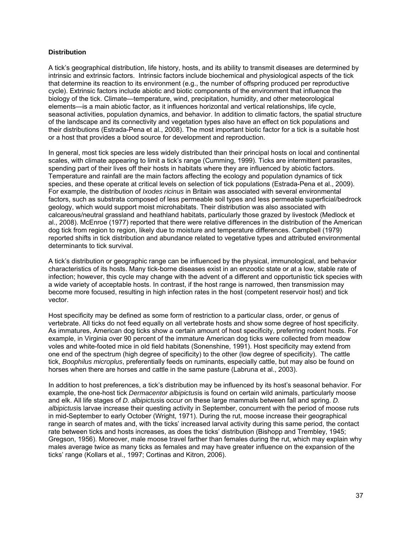#### **Distribution**

A tick's geographical distribution, life history, hosts, and its ability to transmit diseases are determined by intrinsic and extrinsic factors. Intrinsic factors include biochemical and physiological aspects of the tick that determine its reaction to its environment (e.g., the number of offspring produced per reproductive cycle). Extrinsic factors include abiotic and biotic components of the environment that influence the biology of the tick. Climate—temperature, wind, precipitation, humidity, and other meteorological elements—is a main abiotic factor, as it influences horizontal and vertical relationships, life cycle, seasonal activities, population dynamics, and behavior. In addition to climatic factors, the spatial structure of the landscape and its connectivity and vegetation types also have an effect on tick populations and their distributions (Estrada-Pena et al., 2008). The most important biotic factor for a tick is a suitable host or a host that provides a blood source for development and reproduction.

In general, most tick species are less widely distributed than their principal hosts on local and continental scales, with climate appearing to limit a tick's range (Cumming, 1999). Ticks are intermittent parasites, spending part of their lives off their hosts in habitats where they are influenced by abiotic factors. Temperature and rainfall are the main factors affecting the ecology and population dynamics of tick species, and these operate at critical levels on selection of tick populations (Estrada-Pena et al., 2009). For example, the distribution of *Ixodes ricinus* in Britain was associated with several environmental factors, such as substrata composed of less permeable soil types and less permeable superficial/bedrock geology, which would support moist microhabitats. Their distribution was also associated with calcareous/neutral grassland and heathland habitats, particularly those grazed by livestock (Medlock et al., 2008). McEnroe (1977) reported that there were relative differences in the distribution of the American dog tick from region to region, likely due to moisture and temperature differences. Campbell (1979) reported shifts in tick distribution and abundance related to vegetative types and attributed environmental determinants to tick survival.

A tick's distribution or geographic range can be influenced by the physical, immunological, and behavior characteristics of its hosts. Many tick-borne diseases exist in an enzootic state or at a low, stable rate of infection; however, this cycle may change with the advent of a different and opportunistic tick species with a wide variety of acceptable hosts. In contrast, if the host range is narrowed, then transmission may become more focused, resulting in high infection rates in the host (competent reservoir host) and tick vector.

Host specificity may be defined as some form of restriction to a particular class, order, or genus of vertebrate. All ticks do not feed equally on all vertebrate hosts and show some degree of host specificity. As immatures, American dog ticks show a certain amount of host specificity, preferring rodent hosts. For example, in Virginia over 90 percent of the immature American dog ticks were collected from meadow voles and white-footed mice in old field habitats (Sonenshine, 1991). Host specificity may extend from one end of the spectrum (high degree of specificity) to the other (low degree of specificity). The cattle tick, *Boophilus microplus*, preferentially feeds on ruminants, especially cattle, but may also be found on horses when there are horses and cattle in the same pasture (Labruna et al., 2003).

In addition to host preferences, a tick's distribution may be influenced by its host's seasonal behavior. For example, the one-host tick *Dermacentor albipictus*is is found on certain wild animals, particularly moose and elk. All life stages of *D. albipictus*is occur on these large mammals between fall and spring. *D. albipictus*is larvae increase their questing activity in September, concurrent with the period of moose ruts in mid-September to early October (Wright, 1971). During the rut, moose increase their geographical range in search of mates and, with the ticks' increased larval activity during this same period, the contact rate between ticks and hosts increases, as does the ticks' distribution (Bishopp and Trembley, 1945; Gregson, 1956). Moreover, male moose travel farther than females during the rut, which may explain why males average twice as many ticks as females and may have greater influence on the expansion of the ticks' range (Kollars et al., 1997; Cortinas and Kitron, 2006).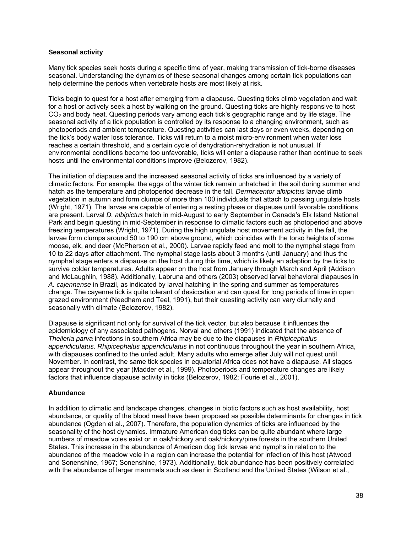#### **Seasonal activity**

Many tick species seek hosts during a specific time of year, making transmission of tick-borne diseases seasonal. Understanding the dynamics of these seasonal changes among certain tick populations can help determine the periods when vertebrate hosts are most likely at risk.

Ticks begin to quest for a host after emerging from a diapause. Questing ticks climb vegetation and wait for a host or actively seek a host by walking on the ground. Questing ticks are highly responsive to host CO<sub>2</sub> and body heat. Questing periods vary among each tick's geographic range and by life stage. The seasonal activity of a tick population is controlled by its response to a changing environment, such as photoperiods and ambient temperature. Questing activities can last days or even weeks, depending on the tick's body water loss tolerance. Ticks will return to a moist micro-environment when water loss reaches a certain threshold, and a certain cycle of dehydration-rehydration is not unusual. If environmental conditions become too unfavorable, ticks will enter a diapause rather than continue to seek hosts until the environmental conditions improve (Belozerov, 1982).

The initiation of diapause and the increased seasonal activity of ticks are influenced by a variety of climatic factors. For example, the eggs of the winter tick remain unhatched in the soil during summer and hatch as the temperature and photoperiod decrease in the fall. *Dermacentor albipictus* larvae climb vegetation in autumn and form clumps of more than 100 individuals that attach to passing ungulate hosts (Wright, 1971). The larvae are capable of entering a resting phase or diapause until favorable conditions are present. Larval *D. albipictus* hatch in mid-August to early September in Canada's Elk Island National Park and begin questing in mid-September in response to climatic factors such as photoperiod and above freezing temperatures (Wright, 1971). During the high ungulate host movement activity in the fall, the larvae form clumps around 50 to 190 cm above ground, which coincides with the torso heights of some moose, elk, and deer (McPherson et al., 2000). Larvae rapidly feed and molt to the nymphal stage from 10 to 22 days after attachment. The nymphal stage lasts about 3 months (until January) and thus the nymphal stage enters a diapause on the host during this time, which is likely an adaption by the ticks to survive colder temperatures. Adults appear on the host from January through March and April (Addison and McLaughlin, 1988). Additionally, Labruna and others (2003) observed larval behavioral diapauses in *A. cajennense* in Brazil, as indicated by larval hatching in the spring and summer as temperatures change. The cayenne tick is quite tolerant of desiccation and can quest for long periods of time in open grazed environment (Needham and Teel, 1991), but their questing activity can vary diurnally and seasonally with climate (Belozerov, 1982).

Diapause is significant not only for survival of the tick vector, but also because it influences the epidemiology of any associated pathogens. Norval and others (1991) indicated that the absence of *Theileria parva* infections in southern Africa may be due to the diapauses in *Rhipicephalus appendiculatus*. *Rhipicephalus appendiculatus* in not continuous throughout the year in southern Africa, with diapauses confined to the unfed adult. Many adults who emerge after July will not quest until November. In contrast, the same tick species in equatorial Africa does not have a diapause. All stages appear throughout the year (Madder et al., 1999). Photoperiods and temperature changes are likely factors that influence diapause activity in ticks (Belozerov, 1982; Fourie et al., 2001).

#### **Abundance**

In addition to climatic and landscape changes, changes in biotic factors such as host availability, host abundance, or quality of the blood meal have been proposed as possible determinants for changes in tick abundance (Ogden et al., 2007). Therefore, the population dynamics of ticks are influenced by the seasonality of the host dynamics. Immature American dog ticks can be quite abundant where large numbers of meadow voles exist or in oak/hickory and oak/hickory/pine forests in the southern United States. This increase in the abundance of American dog tick larvae and nymphs in relation to the abundance of the meadow vole in a region can increase the potential for infection of this host (Atwood and Sonenshine, 1967; Sonenshine, 1973). Additionally, tick abundance has been positively correlated with the abundance of larger mammals such as deer in Scotland and the United States (Wilson et al.,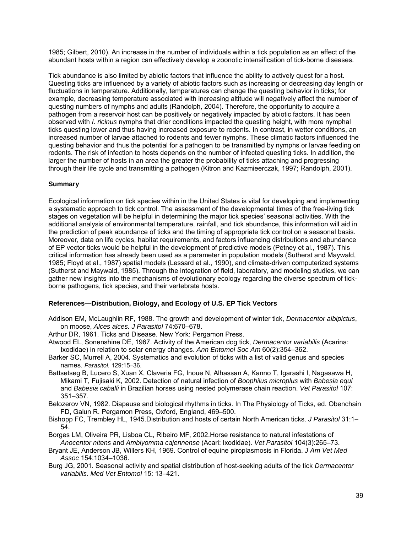1985; Gilbert, 2010). An increase in the number of individuals within a tick population as an effect of the abundant hosts within a region can effectively develop a zoonotic intensification of tick-borne diseases.

Tick abundance is also limited by abiotic factors that influence the ability to actively quest for a host. Questing ticks are influenced by a variety of abiotic factors such as increasing or decreasing day length or fluctuations in temperature. Additionally, temperatures can change the questing behavior in ticks; for example, decreasing temperature associated with increasing altitude will negatively affect the number of questing numbers of nymphs and adults (Randolph, 2004). Therefore, the opportunity to acquire a pathogen from a reservoir host can be positively or negatively impacted by abiotic factors. It has been observed with *I. ricinus* nymphs that drier conditions impacted the questing height, with more nymphal ticks questing lower and thus having increased exposure to rodents. In contrast, in wetter conditions, an increased number of larvae attached to rodents and fewer nymphs. These climatic factors influenced the questing behavior and thus the potential for a pathogen to be transmitted by nymphs or larvae feeding on rodents. The risk of infection to hosts depends on the number of infected questing ticks. In addition, the larger the number of hosts in an area the greater the probability of ticks attaching and progressing through their life cycle and transmitting a pathogen (Kitron and Kazmieerczak, 1997; Randolph, 2001).

#### **Summary**

Ecological information on tick species within in the United States is vital for developing and implementing a systematic approach to tick control. The assessment of the developmental times of the free-living tick stages on vegetation will be helpful in determining the major tick species' seasonal activities. With the additional analysis of environmental temperature, rainfall, and tick abundance, this information will aid in the prediction of peak abundance of ticks and the timing of appropriate tick control on a seasonal basis. Moreover, data on life cycles, habitat requirements, and factors influencing distributions and abundance of EP vector ticks would be helpful in the development of predictive models (Petney et al., 1987). This critical information has already been used as a parameter in population models (Sutherst and Maywald, 1985; Floyd et al., 1987) spatial models (Lessard et al., 1990), and climate-driven computerized systems (Sutherst and Maywald, 1985). Through the integration of field, laboratory, and modeling studies, we can gather new insights into the mechanisms of evolutionary ecology regarding the diverse spectrum of tickborne pathogens, tick species, and their vertebrate hosts.

#### **References—Distribution, Biology, and Ecology of U.S. EP Tick Vectors**

- Addison EM, McLaughlin RF, 1988. The growth and development of winter tick, *Dermacentor albipictus*, on moose, *Alces alces. J Parasitol* 74:670–678.
- Arthur DR, 1961. Ticks and Disease. New York: Pergamon Press.
- Atwood EL, Sonenshine DE, 1967. Activity of the American dog tick, *Dermacentor variabilis* (Acarina: Ixodidae) in relation to solar energy changes. *Ann Entomol Soc Am* 60(2):354–362.
- Barker SC, Murrell A, 2004. Systematics and evolution of ticks with a list of valid genus and species names. *Parasitol.* 129:15–36.
- Battsetseg B, Lucero S, Xuan X, Claveria FG, Inoue N, Alhassan A, Kanno T, Igarashi I, Nagasawa H, Mikami T, Fujisaki K, 2002. Detection of natural infection of *Boophilus microplus* with *Babesia equi* and *Babesia caballi* in Brazilian horses using nested polymerase chain reaction. *Vet Parasitol* 107: 351–357.
- Belozerov VN, 1982. Diapause and biological rhythms in ticks. In The Physiology of Ticks, ed. Obenchain FD, Galun R. Pergamon Press, Oxford, England, 469–500.
- Bishopp FC, Trembley HL, 1945.Distribution and hosts of certain North American ticks. *J Parasitol* 31:1– 54.
- Borges LM, Oliveira PR, Lisboa CL, Ribeiro MF, 2002.Horse resistance to natural infestations of *Anocentor nitens* and *Amblyomma cajennense* (Acari: Ixodidae). *Vet Parasitol* 104(3):265–73.
- Bryant JE, Anderson JB, Willers KH, 1969. Control of equine piroplasmosis in Florida. *J Am Vet Med Assoc* 154:1034–1036.
- Burg JG, 2001. Seasonal activity and spatial distribution of host-seeking adults of the tick *Dermacentor variabilis*. *Med Vet Entomol* 15: 13–421.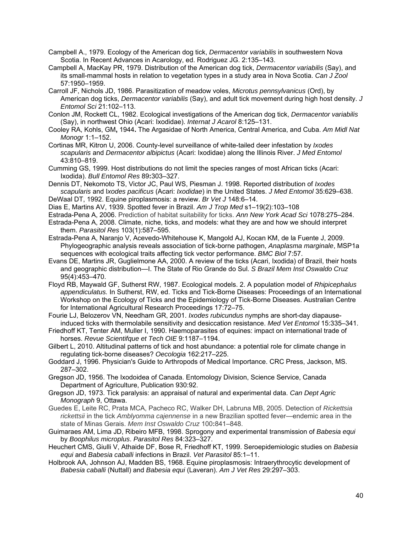Campbell A., 1979. Ecology of the American dog tick, *Dermacentor variabilis* in southwestern Nova Scotia. In Recent Advances in Acarology, ed. Rodriguez JG. 2:135–143.

- Campbell A, MacKay PR, 1979. Distribution of the American dog tick, *Dermacentor variabilis* (Say), and its small-mammal hosts in relation to vegetation types in a study area in Nova Scotia. *Can J Zool* 57:1950–1959.
- Carroll JF, Nichols JD, 1986. Parasitization of meadow voles, *Microtus pennsylvanicus* (Ord), by American dog ticks, *Dermacentor variabilis* (Say), and adult tick movement during high host density. *J Entomol Sci* 21:102–113.
- Conlon JM, Rockett CL, 1982. Ecological investigations of the American dog tick, *Dermacentor variabilis* (Say), in northwest Ohio (Acari: Ixodidae). *Internat J Acarol* 8:125–131.

Cooley RA, Kohls, GM**,** 1944**.** The Argasidae of North America, Central America, and Cuba. *Am Midl Nat Monogr* 1:1–152.

Cortinas MR, Kitron U, 2006. County-level surveillance of white-tailed deer infestation by *Ixodes scapularis* and *Dermacentor albipictus* (Acari: Ixodidae) along the Illinois River. *J Med Entomol* 43:810–819.

Cumming GS, 1999. Host distributions do not limit the species ranges of most African ticks (Acari: Ixodida). *Bull Entomol Res* 89**:**303–327.

Dennis DT, Nekomoto TS, Victor JC, Paul WS, Piesman J. 1998. Reported distribution of *Ixodes scapularis* and I*xodes pacificus* (Acari: *Ixodidae*) in the United States. *J Med Entomol* 35:629–638.

DeWaal DT, 1992. Equine piroplasmosis: a review. *Br Vet J* 148:6–14.

Dias E, Martins AV, 1939. Spotted fever in Brazil. *Am J Trop Med* s1–19(2):103–108

- Estrada-Pena A, 2006. Prediction of habitat suitability for ticks. *Ann New York Acad Sci* 1078:275–284.
- Estrada-Pena A, 2008. Climate, niche, ticks, and models: what they are and how we should interpret them. *Parasitol Res* 103(1):587–595.

Estrada-Pena A, Naranjo V, Acevedo-Whitehouse K, Mangold AJ, Kocan KM, de la Fuente J, 2009. Phylogeographic analysis reveals association of tick-borne pathogen, *Anaplasma marginale*, MSP1a sequences with ecological traits affecting tick vector performance. *BMC Biol* 7:57.

- Evans DE, Martins JR, Guglielmone AA, 2000. A review of the ticks (Acari, Ixodida) of Brazil, their hosts and geographic distribution—I. The State of Rio Grande do Sul. *S Brazil Mem Inst Oswaldo Cruz* 95(4):453–470.
- Floyd RB, Maywald GF, Sutherst RW, 1987. Ecological models. 2. A population model of *Rhipicephalus appendiculatus.* In Sutherst, RW, ed. Ticks and Tick-Borne Diseases: Proceedings of an International Workshop on the Ecology of Ticks and the Epidemiology of Tick-Borne Diseases. Australian Centre for International Agricultural Research Proceedings 17:72–75.

Fourie LJ, Belozerov VN, Needham GR, 2001. *Ixodes rubicundus* nymphs are short-day diapauseinduced ticks with thermolabile sensitivity and desiccation resistance. *Med Vet Entomol* 15:335–341.

Friedhoff KT, Tenter AM, Muller I, 1990. Haemoparasites of equines: impact on international trade of horses. *Revue Scientifque et Tech OIE* 9:1187–1194.

Gilbert L, 2010. Altitudinal patterns of tick and host abundance: a potential role for climate change in regulating tick-borne diseases? *Oecologia* 162:217–225.

Goddard J, 1996. Physician's Guide to Arthropods of Medical Importance. CRC Press, Jackson, MS. 287–302.

Gregson JD, 1956. The Ixodoidea of Canada. Entomology Division, Science Service, Canada Department of Agriculture, Publication 930:92.

- Gregson JD, 1973. Tick paralysis: an appraisal of natural and experimental data. *Can Dept Agric Monograph* 9, Ottawa.
- Guedes E, Leite RC, Prata MCA, Pacheco RC, Walker DH, Labruna MB, 2005. Detection of *Rickettsia rickettsii* in the tick *Amblyomma cajennense* in a new Brazilian spotted fever—endemic area in the state of Minas Gerais. *Mem Inst Oswaldo Cruz* 100**:**841–848.
- Guimaraes AM, Lima JD, Ribeiro MFB, 1998. Sprogony and experimental transmission of *Babesia equi* by *Boophilus microplus*. *Parasitol Res* 84:323–327.
- Heuchert CMS, Giulli V, Athaide DF, Bose R, Friedhoff KT, 1999. Seroepidemiologic studies on *Babesia equi* and *Babesia caballi* infections in Brazil. *Vet Parasitol* 85:1–11.
- Holbrook AA, Johnson AJ, Madden BS, 1968. Equine piroplasmosis: Intraerythrocytic development of *Babesia caballi* (Nuttall) and *Babesia equi* (Laveran). *Am J Vet Res* 29:297–303.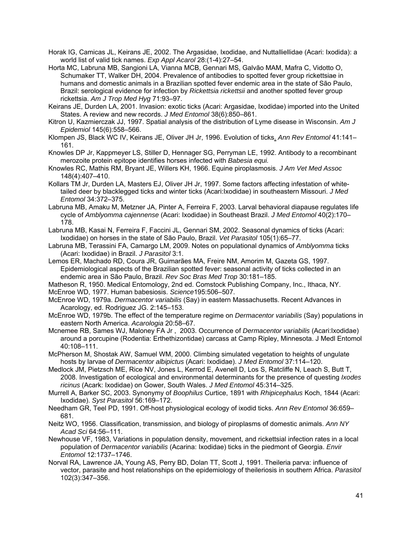Horak IG, Camicas JL, Keirans JE, 2002. The Argasidae, Ixodidae, and Nuttalliellidae (Acari: Ixodida): a world list of valid tick names. *Exp Appl Acarol* 28:(1-4):27–54.

Horta MC, Labruna MB, Sangioni LA, Vianna MCB, Gennari MS, Galvão MAM, Mafra C, Vidotto O, Schumaker TT, Walker DH, 2004. Prevalence of antibodies to spotted fever group rickettsiae in humans and domestic animals in a Brazilian spotted fever endemic area in the state of São Paulo, Brazil: serological evidence for infection by *Rickettsia rickettsii* and another spotted fever group rickettsia. *Am J Trop Med Hyg* 71:93–97.

Keirans JE, Durden LA, 2001. Invasion: exotic ticks (Acari: Argasidae, Ixodidae) imported into the United States. A review and new records. *J Med Entomol* 38(6):850–861.

Kitron U, Kazmierczak JJ, 1997. Spatial analysis of the distribution of Lyme disease in Wisconsin. *Am J Epidemiol* 145(6):558–566.

Klompen JS, Black WC IV, Keirans JE, Oliver JH Jr, 1996. Evolution of ticks. *Ann Rev Entomol* 41:141– 161.

Knowles DP Jr, Kappmeyer LS, Stiller D, Hennager SG, Perryman LE, 1992. Antibody to a recombinant merozoite protein epitope identifies horses infected with *Babesia equi.*

Knowles RC, Mathis RM, Bryant JE, Willers KH, 1966. Equine piroplasmosis. *J Am Vet Med Assoc* 148(4):407–410.

Kollars TM Jr, Durden LA, Masters EJ, Oliver JH Jr, 1997. Some factors affecting infestation of whitetailed deer by blacklegged ticks and winter ticks (Acari:Ixodidae) in southeastern Missouri. *J Med Entomol* 34:372–375.

Labruna MB, Amaku M, Metzner JA, Pinter A, Ferreira F, 2003. Larval behavioral diapause regulates life cycle of *Amblyomma cajennense* (Acari: Ixodidae) in Southeast Brazil. *J Med Entomol* 40(2):170– 178.

Labruna MB, Kasai N, Ferreira F, Faccini JL, Gennari SM, 2002. Seasonal dynamics of ticks (Acari: Ixodidae) on horses in the state of São Paulo, Brazil. *Vet Parasitol* 105(1):65–77.

Labruna MB, Terassini FA, Camargo LM, 2009. Notes on populational dynamics of *Amblyomma* ticks (Acari: Ixodidae) in Brazil. *J Parasitol* 3:1.

Lemos ER, Machado RD, Coura JR, Guimarães MA, Freire NM, Amorim M, Gazeta GS, 1997. Epidemiological aspects of the Brazilian spotted fever: seasonal activity of ticks collected in an endemic area in São Paulo, Brazil. *Rev Soc Bras Med Trop* 30:181–185.

Matheson R, 1950. Medical Entomology, 2nd ed. Comstock Publishing Company, Inc., Ithaca, NY. McEnroe WD, 1977. Human babesiosis. *Science*195:506–507.

McEnroe WD, 1979a. *Dermacentor variabilis* (Say) in eastern Massachusetts. Recent Advances in Acarology, ed. Rodriguez JG. 2:145–153.

McEnroe WD, 1979b. The effect of the temperature regime on *Dermacentor variabilis* (Say) populations in eastern North America. *Acarologia* 20:58–67.

Mcnemee RB, Sames WJ, Maloney FA Jr , 2003. Occurrence of *Dermacentor variabilis* (Acari:Ixodidae) around a porcupine (Rodentia: Erthethizontidae) carcass at Camp Ripley, Minnesota. J Medl Entomol 40:108–111.

McPherson M, Shostak AW, Samuel WM, 2000. Climbing simulated vegetation to heights of ungulate hosts by larvae of *Dermacentor albipictus* (Acari: Ixodidae). *J Med Entomol* 37:114–120.

Medlock JM, Pietzsch ME, Rice NV, Jones L, Kerrod E, Avenell D, Los S, Ratcliffe N, Leach S, Butt T, 2008. Investigation of ecological and environmental determinants for the presence of questing *Ixodes ricinus* (Acark: Ixodidae) on Gower, South Wales. *J Med Entomol* 45:314–325.

Murrell A, Barker SC, 2003. Synonymy of *Boophilus* Curtice, 1891 with *Rhipicephalus* Koch, 1844 (Acari: Ixodidae). *Syst Parasitol* 56:169–172.

Needham GR, Teel PD, 1991. Off-host physiological ecology of ixodid ticks. *Ann Rev Entomol* 36:659– 681.

Neitz WO, 1956. Classification, transmission, and biology of piroplasms of domestic animals. *Ann NY Acad Sci* 64:56–111.

Newhouse VF, 1983, Variations in population density, movement, and rickettsial infection rates in a local population of *Dermacentor variabilis* (Acarina: Ixodidae) ticks in the piedmont of Georgia. *Envir Entomol* 12:1737–1746.

Norval RA, Lawrence JA, Young AS, Perry BD, Dolan TT, Scott J, 1991. Theileria parva: influence of vector, parasite and host relationships on the epidemiology of theileriosis in southern Africa. *Parasitol* 102(3):347–356.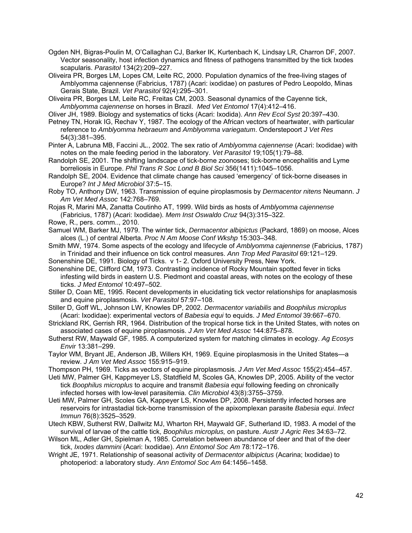Ogden NH, Bigras-Poulin M, O'Callaghan CJ, Barker IK, Kurtenbach K, Lindsay LR, Charron DF, 2007. Vector seasonality, host infection dynamics and fitness of pathogens transmitted by the tick Ixodes scapularis. *Parasitol* 134(2):209–227.

Oliveira PR, Borges LM, Lopes CM, Leite RC, 2000. Population dynamics of the free-living stages of Amblyomma cajennense (Fabricius, 1787) (Acari: ixodidae) on pastures of Pedro Leopoldo, Minas Gerais State, Brazil. *Vet Parasitol* 92(4):295–301.

Oliveira PR, Borges LM, Leite RC, Freitas CM, 2003. Seasonal dynamics of the Cayenne tick, *Amblyomma cajennense* on horses in Brazil. *Med Vet Entomol* 17(4):412–416.

Oliver JH, 1989. Biology and systematics of ticks (Acari: Ixodida). *Ann Rev Ecol Syst* 20:397–430.

Petney TN, Horak IG, Rechav Y, 1987. The ecology of the African vectors of heartwater, with particular reference to *Amblyomma hebraeum* and *Amblyomma variegatum*. Onderstepoort *J Vet Res*  54(3):381–395.

Pinter A, Labruna MB, Faccini JL., 2002. The sex ratio of *Amblyomma cajennense* (Acari: Ixodidae) with notes on the male feeding period in the laboratory. *Vet Parasitol* 19;105(1):79–88.

Randolph SE, 2001. The shifting landscape of tick-borne zoonoses; tick-borne encephalitis and Lyme borreliosis in Europe. *Phil Trans R Soc Lond B Biol Sci* 356(1411):1045–1056.

Randolph SE, 2004. Evidence that climate change has caused 'emergency' of tick-borne diseases in Europe? *Int J Med Microbiol* 37:5–15.

Roby TO, Anthony DW, 1963. Transmission of equine piroplasmosis by *Dermacentor nitens* Neumann. *J Am Vet Med Assoc* 142:768–769.

Rojas R, Marini MA, Zanatta Coutinho AT, 1999. Wild birds as hosts of *Amblyomma cajennense* (Fabricius, 1787) (Acari: Ixodidae). *Mem Inst Oswaldo Cruz* 94(3):315–322.

Rowe, R., pers. comm.., 2010.

Samuel WM, Barker MJ, 1979. The winter tick, *Dermacentor albipictus* (Packard, 1869) on moose, Alces alces (L.) of central Alberta. *Proc N Am Moose Conf Wkshp* 15:303–348.

Smith MW, 1974. Some aspects of the ecology and lifecycle of *Amblyomma cajennense* (Fabricius, 1787) in Trinidad and their influence on tick control measures. *Ann Trop Med Parasitol* 69:121–129.

Sonenshine DE, 1991. Biology of Ticks. v 1- 2. Oxford University Press, New York.

Sonenshine DE, Clifford CM, 1973. Contrasting incidence of Rocky Mountain spotted fever in ticks infesting wild birds in eastern U.S. Piedmont and coastal areas, with notes on the ecology of these ticks. *J Med Entomol* 10:497–502.

Stiller D, Coan ME, 1995. Recent developments in elucidating tick vector relationships for anaplasmosis and equine piroplasmosis. *Vet Parasitol* 57:97–108.

Stiller D, Goff WL, Johnson LW, Knowles DP, 2002. *Dermacentor variabilis* and *Boophilus microplus* (Acari: Ixodidae): experimental vectors of *Babesia equi* to equids. *J Med Entomol* 39:667–670.

Strickland RK, Gerrish RR, 1964. Distribution of the tropical horse tick in the United States, with notes on associated cases of equine piroplasmosis. *J Am Vet Med Assoc* 144:875–878.

Sutherst RW, Maywald GF, 1985. A computerized system for matching climates in ecology. *Ag Ecosys Envir* 13:381–299.

Taylor WM, Bryant JE, Anderson JB, Willers KH, 1969. Equine piroplasmosis in the United States—a review. *J Am Vet Med Assoc* 155:915–919.

Thompson PH, 1969. Ticks as vectors of equine piroplasmosis. *J Am Vet Med Assoc* 155(2):454–457.

Ueti MW, Palmer GH, Kappmeyer LS, Statdfield M, Scoles GA, Knowles DP, 2005. Ability of the vector tick *Boophilus microplus* to acquire and transmit *Babesia equi* following feeding on chronically infected horses with low-level parasitemia. *Clin Microbiol* 43(8):3755–3759.

Ueti MW, Palmer GH, Scoles GA, Kappeyer LS, Knowles DP, 2008. Persistently infected horses are reservoirs for intrastadial tick-borne transmission of the apixomplexan parasite *Babesia equi*. *Infect Immun* 76(8):3525–3529.

Utech KBW, Sutherst RW, Dallwitz MJ, Wharton RH, Maywald GF, Sutherland ID, 1983. A model of the survival of larvae of the cattle tick, *Boophilus microplus,* on pasture. *Austr J Agric Res* 34:63–72.

Wilson ML, Adler GH, Spielman A, 1985. Correlation between abundance of deer and that of the deer tick, *Ixodes dammini* (Acari: Ixodidae). *Ann Entomol Soc Am* 78:172–176.

Wright JE, 1971. Relationship of seasonal activity of *Dermacentor albipictus* (Acarina; Ixodidae) to photoperiod: a laboratory study. *Ann Entomol Soc Am* 64:1456–1458.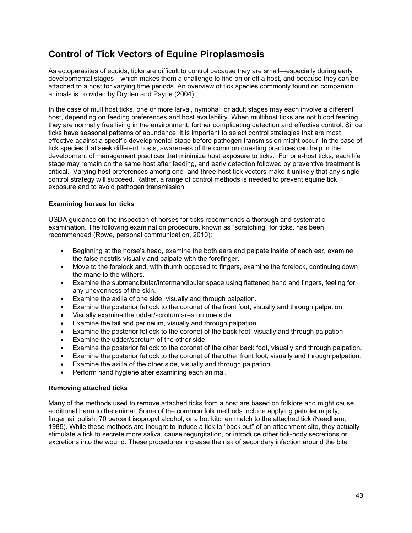# **Control of Tick Vectors of Equine Piroplasmosis**

As ectoparasites of equids, ticks are difficult to control because they are small—especially during early developmental stages—which makes them a challenge to find on or off a host, and because they can be attached to a host for varying time periods. An overview of tick species commonly found on companion animals is provided by Dryden and Payne (2004).

In the case of multihost ticks, one or more larval, nymphal, or adult stages may each involve a different host, depending on feeding preferences and host availability. When multihost ticks are not blood feeding, they are normally free living in the environment, further complicating detection and effective control. Since ticks have seasonal patterns of abundance, it is important to select control strategies that are most effective against a specific developmental stage before pathogen transmission might occur. In the case of tick species that seek different hosts, awareness of the common questing practices can help in the development of management practices that minimize host exposure to ticks. For one-host ticks, each life stage may remain on the same host after feeding, and early detection followed by preventive treatment is critical. Varying host preferences among one- and three-host tick vectors make it unlikely that any single control strategy will succeed. Rather, a range of control methods is needed to prevent equine tick exposure and to avoid pathogen transmission.

#### **Examining horses for ticks**

USDA guidance on the inspection of horses for ticks recommends a thorough and systematic examination. The following examination procedure, known as "scratching" for ticks, has been recommended (Rowe, personal communication, 2010):

- Beginning at the horse's head, examine the both ears and palpate inside of each ear, examine the false nostrils visually and palpate with the forefinger.
- Move to the forelock and, with thumb opposed to fingers, examine the forelock, continuing down the mane to the withers.
- Examine the submandibular/intermandibular space using flattened hand and fingers, feeling for any unevenness of the skin.
- Examine the axilla of one side, visually and through palpation.
- Examine the posterior fetlock to the coronet of the front foot, visually and through palpation.
- Visually examine the udder/scrotum area on one side.
- Examine the tail and perineum, visually and through palpation.
- Examine the posterior fetlock to the coronet of the back foot, visually and through palpation
- Examine the udder/scrotum of the other side.
- Examine the posterior fetlock to the coronet of the other back foot, visually and through palpation.
- Examine the posterior fetlock to the coronet of the other front foot, visually and through palpation.
- Examine the axilla of the other side, visually and through palpation.
- Perform hand hygiene after examining each animal.

#### **Removing attached ticks**

Many of the methods used to remove attached ticks from a host are based on folklore and might cause additional harm to the animal. Some of the common folk methods include applying petroleum jelly, fingernail polish, 70 percent isopropyl alcohol, or a hot kitchen match to the attached tick (Needham, 1985). While these methods are thought to induce a tick to "back out" of an attachment site, they actually stimulate a tick to secrete more saliva, cause regurgitation, or introduce other tick-body secretions or excretions into the wound. These procedures increase the risk of secondary infection around the bite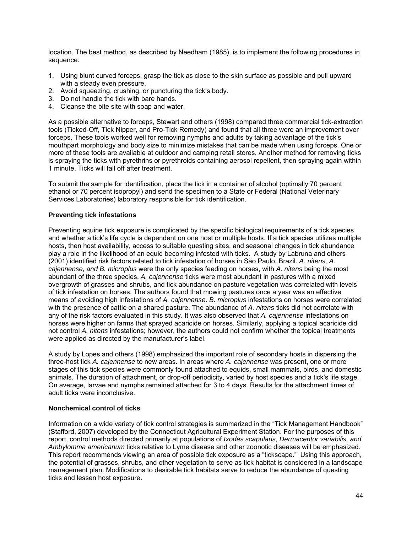location. The best method, as described by Needham (1985), is to implement the following procedures in sequence:

- 1. Using blunt curved forceps, grasp the tick as close to the skin surface as possible and pull upward with a steady even pressure.
- 2. Avoid squeezing, crushing, or puncturing the tick's body.
- 3. Do not handle the tick with bare hands.
- 4. Cleanse the bite site with soap and water.

As a possible alternative to forceps, Stewart and others (1998) compared three commercial tick-extraction tools (Ticked-Off, Tick Nipper, and Pro-Tick Remedy) and found that all three were an improvement over forceps. These tools worked well for removing nymphs and adults by taking advantage of the tick's mouthpart morphology and body size to minimize mistakes that can be made when using forceps. One or more of these tools are available at outdoor and camping retail stores. Another method for removing ticks is spraying the ticks with pyrethrins or pyrethroids containing aerosol repellent, then spraying again within 1 minute. Ticks will fall off after treatment.

To submit the sample for identification, place the tick in a container of alcohol (optimally 70 percent ethanol or 70 percent isopropyl) and send the specimen to a State or Federal (National Veterinary Services Laboratories) laboratory responsible for tick identification.

#### **Preventing tick infestations**

Preventing equine tick exposure is complicated by the specific biological requirements of a tick species and whether a tick's life cycle is dependent on one host or multiple hosts. If a tick species utilizes multiple hosts, then host availability, access to suitable questing sites, and seasonal changes in tick abundance play a role in the likelihood of an equid becoming infested with ticks. A study by Labruna and others (2001) identified risk factors related to tick infestation of horses in São Paulo, Brazil. *A. nitens, A. cajennense, and B. microplus* were the only species feeding on horses, with *A. nitens* being the most abundant of the three species. *A. cajennense* ticks were most abundant in pastures with a mixed overgrowth of grasses and shrubs, and tick abundance on pasture vegetation was correlated with levels of tick infestation on horses. The authors found that mowing pastures once a year was an effective means of avoiding high infestations of *A. cajennense*. *B*. *microplus* infestations on horses were correlated with the presence of cattle on a shared pasture. The abundance of *A. nitens* ticks did not correlate with any of the risk factors evaluated in this study. It was also observed that *A. cajennense* infestations on horses were higher on farms that sprayed acaricide on horses. Similarly, applying a topical acaricide did not control *A. nitens* infestations; however, the authors could not confirm whether the topical treatments were applied as directed by the manufacturer's label.

A study by Lopes and others (1998) emphasized the important role of secondary hosts in dispersing the three-host tick *A. cajennense* to new areas. In areas where *A. cajennense* was present, one or more stages of this tick species were commonly found attached to equids, small mammals, birds, and domestic animals. The duration of attachment, or drop-off periodicity, varied by host species and a tick's life stage. On average, larvae and nymphs remained attached for 3 to 4 days. Results for the attachment times of adult ticks were inconclusive.

#### **Nonchemical control of ticks**

Information on a wide variety of tick control strategies is summarized in the "Tick Management Handbook" (Stafford, 2007) developed by the Connecticut Agricultural Experiment Station. For the purposes of this report, control methods directed primarily at populations of *Ixodes scapularis, Dermacentor variabilis, and Ambylomma americanum* ticks relative to Lyme disease and other zoonotic diseases will be emphasized. This report recommends viewing an area of possible tick exposure as a "tickscape." Using this approach, the potential of grasses, shrubs, and other vegetation to serve as tick habitat is considered in a landscape management plan. Modifications to desirable tick habitats serve to reduce the abundance of questing ticks and lessen host exposure.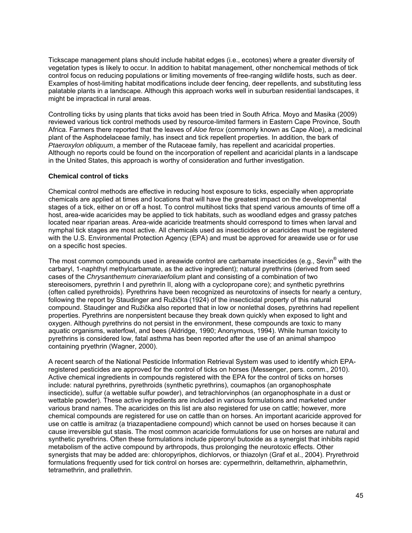Tickscape management plans should include habitat edges (i.e., ecotones) where a greater diversity of vegetation types is likely to occur. In addition to habitat management, other nonchemical methods of tick control focus on reducing populations or limiting movements of free-ranging wildlife hosts, such as deer. Examples of host-limiting habitat modifications include deer fencing, deer repellents, and substituting less palatable plants in a landscape. Although this approach works well in suburban residential landscapes, it might be impractical in rural areas.

Controlling ticks by using plants that ticks avoid has been tried in South Africa. Moyo and Masika (2009) reviewed various tick control methods used by resource-limited farmers in Eastern Cape Province, South Africa. Farmers there reported that the leaves of *Aloe ferox* (commonly known as Cape Aloe), a medicinal plant of the Asphodelaceae family, has insect and tick repellent properties. In addition, the bark of *Ptaeroxylon obliquum*, a member of the Rutaceae family, has repellent and acaricidal properties. Although no reports could be found on the incorporation of repellent and acaricidal plants in a landscape in the United States, this approach is worthy of consideration and further investigation.

#### **Chemical control of ticks**

Chemical control methods are effective in reducing host exposure to ticks, especially when appropriate chemicals are applied at times and locations that will have the greatest impact on the developmental stages of a tick, either on or off a host. To control multihost ticks that spend various amounts of time off a host, area-wide acaricides may be applied to tick habitats, such as woodland edges and grassy patches located near riparian areas. Area-wide acaricide treatments should correspond to times when larval and nymphal tick stages are most active. All chemicals used as insecticides or acaricides must be registered with the U.S. Environmental Protection Agency (EPA) and must be approved for areawide use or for use on a specific host species.

The most common compounds used in areawide control are carbamate insecticides (e.g., Sevin $^{\circledast}$  with the carbaryl, 1-naphthyl methylcarbamate, as the active ingredient); natural pyrethrins (derived from seed cases of the *Chrysanthemum cinerariaefolium* plant and consisting of a combination of two stereoisomers, pyrethrin I and pyrethrin II, along with a cyclopropane core); and synthetic pyrethrins (often called pyrethroids). Pyrethrins have been recognized as neurotoxins of insects for nearly a century, following the report by Staudinger and Ružička (1924) of the insecticidal property of this natural compound. Staudinger and Ružička also reported that in low or nonlethal doses, pyrethrins had repellent properties. Pyrethrins are nonpersistent because they break down quickly when exposed to light and oxygen. Although pyrethrins do not persist in the environment, these compounds are toxic to many aquatic organisms, waterfowl, and bees (Aldridge, 1990; Anonymous, 1994). While human toxicity to pyrethrins is considered low, fatal asthma has been reported after the use of an animal shampoo containing pryethrin (Wagner, 2000).

A recent search of the National Pesticide Information Retrieval System was used to identify which EPAregistered pesticides are approved for the control of ticks on horses (Messenger, pers. comm., 2010). Active chemical ingredients in compounds registered with the EPA for the control of ticks on horses include: natural pyrethrins, pyrethroids (synthetic pyrethrins), coumaphos (an organophosphate insecticide), sulfur (a wettable sulfur powder), and tetrachlorvinphos (an organophosphate in a dust or wettable powder). These active ingredients are included in various formulations and marketed under various brand names. The acaricides on this list are also registered for use on cattle; however, more chemical compounds are registered for use on cattle than on horses. An important acaricide approved for use on cattle is amitraz (a triazapentadiene compound) which cannot be used on horses because it can cause irreversible gut stasis. The most common acaricide formulations for use on horses are natural and synthetic pyrethrins. Often these formulations include piperonyl butoxide as a synergist that inhibits rapid metabolism of the active compound by arthropods, thus prolonging the neurotoxic effects. Other synergists that may be added are: chloropyriphos, dichlorvos, or thiazolyn (Graf et al., 2004). Pryrethroid formulations frequently used for tick control on horses are: cypermethrin, deltamethrin, alphamethrin, tetramethrin, and prallethrin.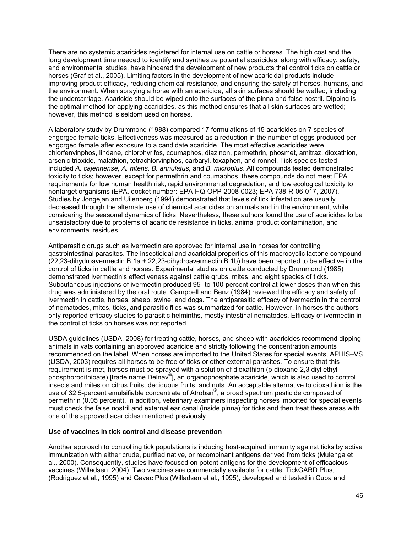There are no systemic acaricides registered for internal use on cattle or horses. The high cost and the long development time needed to identify and synthesize potential acaricides, along with efficacy, safety, and environmental studies, have hindered the development of new products that control ticks on cattle or horses (Graf et al., 2005). Limiting factors in the development of new acaricidal products include improving product efficacy, reducing chemical resistance, and ensuring the safety of horses, humans, and the environment. When spraying a horse with an acaricide, all skin surfaces should be wetted, including the undercarriage. Acaricide should be wiped onto the surfaces of the pinna and false nostril. Dipping is the optimal method for applying acaricides, as this method ensures that all skin surfaces are wetted; however, this method is seldom used on horses.

A laboratory study by Drummond (1988) compared 17 formulations of 15 acaricides on 7 species of engorged female ticks. Effectiveness was measured as a reduction in the number of eggs produced per engorged female after exposure to a candidate acaricide. The most effective acaricides were chlorfenvinphos, lindane, chlorphyrifos, coumaphos, diazinon, permethrin, phosmet, amitraz, dioxathion, arsenic trioxide, malathion, tetrachlorvinphos, carbaryl, toxaphen, and ronnel. Tick species tested included *A. cajennense, A. nitens, B. annulatus,* and *B. microplus*. All compounds tested demonstrated toxicity to ticks; however, except for permethrin and coumaphos, these compounds do not meet EPA requirements for low human health risk, rapid environmental degradation, and low ecological toxicity to nontarget organisms (EPA, docket number: EPA-HQ-OPP-2008-0023; EPA 738-R-06-017, 2007). Studies by Jongejan and Uilenberg (1994) demonstrated that levels of tick infestation are usually decreased through the alternate use of chemical acaricides on animals and in the environment, while considering the seasonal dynamics of ticks. Nevertheless, these authors found the use of acaricides to be unsatisfactory due to problems of acaricide resistance in ticks, animal product contamination, and environmental residues.

Antiparasitic drugs such as ivermectin are approved for internal use in horses for controlling gastrointestinal parasites. The insecticidal and acaricidal properties of this macrocyclic lactone compound (22,23-dihydroavermectin B 1a + 22,23-dihydroavermectin B 1b) have been reported to be effective in the control of ticks in cattle and horses. Experimental studies on cattle conducted by Drummond (1985) demonstrated ivermectin's effectiveness against cattle grubs, mites, and eight species of ticks. Subcutaneous injections of ivermectin produced 95- to 100-percent control at lower doses than when this drug was administered by the oral route. Campbell and Benz (1984) reviewed the efficacy and safety of ivermectin in cattle, horses, sheep, swine, and dogs. The antiparasitic efficacy of ivermectin in the control of nematodes, mites, ticks, and parasitic flies was summarized for cattle. However, in horses the authors only reported efficacy studies to parasitic helminths, mostly intestinal nematodes. Efficacy of ivermectin in the control of ticks on horses was not reported.

USDA guidelines (USDA, 2008) for treating cattle, horses, and sheep with acaricides recommend dipping animals in vats containing an approved acaricide and strictly following the concentration amounts recommended on the label. When horses are imported to the United States for special events, APHIS–VS (USDA, 2003) requires all horses to be free of ticks or other external parasites. To ensure that this requirement is met, horses must be sprayed with a solution of dioxathion (p-dioxane-2,3 diyl ethyl phosphorodithioate) [trade name Delnav®], an organophosphate acaricide, which is also used to control insects and mites on citrus fruits, deciduous fruits, and nuts. An acceptable alternative to dioxathion is the use of 32.5-percent emulsifiable concentrate of Atroban<sup>®</sup>, a broad spectrum pesticide composed of permethrin (0.05 percent). In addition, veterinary examiners inspecting horses imported for special events must check the false nostril and external ear canal (inside pinna) for ticks and then treat these areas with one of the approved acaricides mentioned previously.

#### **Use of vaccines in tick control and disease prevention**

Another approach to controlling tick populations is inducing host-acquired immunity against ticks by active immunization with either crude, purified native, or recombinant antigens derived from ticks (Mulenga et al., 2000). Consequently, studies have focused on potent antigens for the development of efficacious vaccines (Willadsen, 2004). Two vaccines are commercially available for cattle: TickGARD Plus, (Rodriguez et al., 1995) and Gavac Plus (Willadsen et al., 1995), developed and tested in Cuba and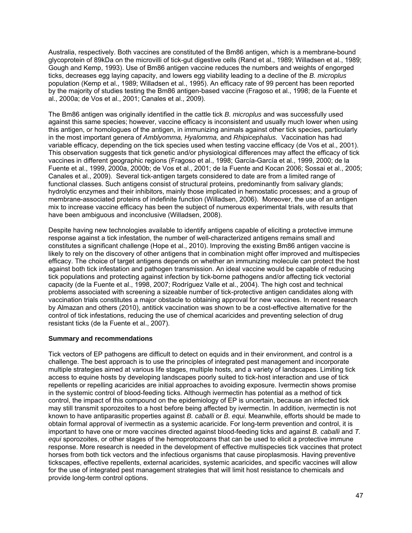Australia, respectively. Both vaccines are constituted of the Bm86 antigen, which is a membrane-bound glycoprotein of 89kDa on the microvilli of tick-gut digestive cells (Rand et al., 1989; Willadsen et al., 1989; Gough and Kemp, 1993). Use of Bm86 antigen vaccine reduces the numbers and weights of engorged ticks, decreases egg laying capacity, and lowers egg viability leading to a decline of the *B. microplus*  population (Kemp et al., 1989; Willadsen et al., 1995). An efficacy rate of 99 percent has been reported by the majority of studies testing the Bm86 antigen-based vaccine (Fragoso et al., 1998; de la Fuente et al., 2000a; de Vos et al., 2001; Canales et al., 2009).

The Bm86 antigen was originally identified in the cattle tick *B. microplus* and was successfully used against this same species; however, vaccine efficacy is inconsistent and usually much lower when using this antigen, or homologues of the antigen, in immunizing animals against other tick species, particularly in the most important genera of *Amblyomma, Hyalomma,* and *Rhipicephalus.* Vaccination has had variable efficacy, depending on the tick species used when testing vaccine efficacy (de Vos et al., 2001). This observation suggests that tick genetic and/or physiological differences may affect the efficacy of tick vaccines in different geographic regions (Fragoso et al., 1998; García-García et al., 1999, 2000; de la Fuente et al., 1999, 2000a, 2000b; de Vos et al., 2001; de la Fuente and Kocan 2006; Sossai et al., 2005; Canales et al., 2009). Several tick-antigen targets considered to date are from a limited range of functional classes. Such antigens consist of structural proteins, predominantly from salivary glands; hydrolytic enzymes and their inhibitors, mainly those implicated in hemostatic processes; and a group of membrane-associated proteins of indefinite function (Willadsen, 2006). Moreover, the use of an antigen mix to increase vaccine efficacy has been the subject of numerous experimental trials, with results that have been ambiguous and inconclusive (Willadsen, 2008).

Despite having new technologies available to identify antigens capable of eliciting a protective immune response against a tick infestation, the number of well-characterized antigens remains small and constitutes a significant challenge (Hope et al., 2010). Improving the existing Bm86 antigen vaccine is likely to rely on the discovery of other antigens that in combination might offer improved and multispecies efficacy. The choice of target antigens depends on whether an immunizing molecule can protect the host against both tick infestation and pathogen transmission. An ideal vaccine would be capable of reducing tick populations and protecting against infection by tick-borne pathogens and/or affecting tick vectorial capacity (de la Fuente et al., 1998, 2007; Rodríguez Valle et al., 2004). The high cost and technical problems associated with screening a sizeable number of tick-protective antigen candidates along with vaccination trials constitutes a major obstacle to obtaining approval for new vaccines. In recent research by Almazan and others (2010), antitick vaccination was shown to be a cost-effective alternative for the control of tick infestations, reducing the use of chemical acaricides and preventing selection of drug resistant ticks (de la Fuente et al., 2007).

#### **Summary and recommendations**

Tick vectors of EP pathogens are difficult to detect on equids and in their environment, and control is a challenge. The best approach is to use the principles of integrated pest management and incorporate multiple strategies aimed at various life stages, multiple hosts, and a variety of landscapes. Limiting tick access to equine hosts by developing landscapes poorly suited to tick-host interaction and use of tick repellents or repelling acaricides are initial approaches to avoiding exposure. Ivermectin shows promise in the systemic control of blood-feeding ticks. Although ivermectin has potential as a method of tick control, the impact of this compound on the epidemiology of EP is uncertain, because an infected tick may still transmit sporozoites to a host before being affected by ivermectin. In addition, ivermectin is not known to have antiparasitic properties against *B. caballi* or *B. equi.* Meanwhile, efforts should be made to obtain formal approval of ivermectin as a systemic acaricide. For long-term prevention and control, it is important to have one or more vaccines directed against blood-feeding ticks and against *B. caballi* and *T. equi* sporozoites, or other stages of the hemoprotozoans that can be used to elicit a protective immune response. More research is needed in the development of effective multispecies tick vaccines that protect horses from both tick vectors and the infectious organisms that cause piroplasmosis. Having preventive tickscapes, effective repellents, external acaricides, systemic acaricides, and specific vaccines will allow for the use of integrated pest management strategies that will limit host resistance to chemicals and provide long-term control options.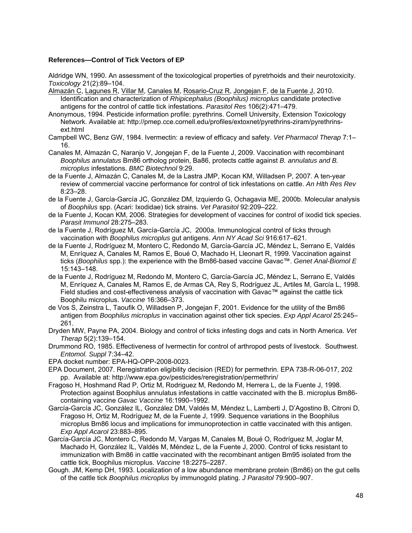#### **References—Control of Tick Vectors of EP**

Aldridge WN, 1990. An assessment of the toxicological properties of pyretrhoids and their neurotoxicity. *Toxicology* 21(2):89–104.

Almazán C, Lagunes R, Villar M, Canales M, Rosario-Cruz R, Jongejan F, de la Fuente J, 2010. Identification and characterization of *Rhipicephalus (Boophilus) microplus* candidate protective antigens for the control of cattle tick infestations. *Parasitol Res* 106(2):471–479.

- Anonymous, 1994. Pesticide information profile: pyrethrins. Cornell University, Extension Toxicology Network. Available at: http://pmep.cce.cornell.edu/profiles/extoxnet/pyrethrins-ziram/pyrethrinsext.html
- Campbell WC, Benz GW, 1984. Ivermectin: a review of efficacy and safety. *Vet Pharmacol Therap* 7:1– 16.
- Canales M, Almazán C, Naranjo V, Jongejan F, de la Fuente J, 2009. Vaccination with recombinant *Boophilus annulatus* Bm86 ortholog protein, Ba86, protects cattle against *B. annulatus and B. microplus* infestations. *BMC Biotechnol* 9:29.
- de la Fuente J, Almazán C, Canales M, de la Lastra JMP, Kocan KM, Willadsen P, 2007. A ten-year review of commercial vaccine performance for control of tick infestations on cattle. *An Hlth Res Rev* 8:23–28.
- de la Fuente J, García-García JC, González DM, Izquierdo G, Ochagavia ME, 2000b. Molecular analysis of *Boophilus* spp. (Acari: Ixodidae) tick strains. *Vet Parasitol* 92:209–222.
- de la Fuente J, Kocan KM, 2006. Strategies for development of vaccines for control of ixodid tick species. *Parasit Immunol* 28:275–283.
- de la Fuente J, Rodríguez M, García-García JC, 2000a. Immunological control of ticks through vaccination with *Boophilus microplus* gut antigens. *Ann NY Acad Sci* 916:617–621.
- de la Fuente J, Rodríguez M, Montero C, Redondo M, García-García JC, Méndez L, Serrano E, Valdés M, Enríquez A, Canales M, Ramos E, Boué O, Machado H, Lleonart R, 1999. Vaccination against ticks (*Boophilus* spp.): the experience with the Bm86-based vaccine Gavac™. *Genet Anal-Biomol E* 15:143–148.
- de la Fuente J, Rodríguez M, Redondo M, Montero C, García-García JC, Méndez L, Serrano E, Valdés M, Enríquez A, Canales M, Ramos E, de Armas CA, Rey S, Rodríguez JL, Artiles M, García L, 1998. Field studies and cost-effectiveness analysis of vaccination with Gavac™ against the cattle tick Boophilu microplus. *Vaccine* 16:366–373.
- de Vos S, Zeinstra L, Taoufik O, Willadsen P, Jongejan F, 2001. Evidence for the utility of the Bm86 antigen from *Boophilus microplus* in vaccination against other tick species. *Exp Appl Acarol* 25:245– 261.
- Dryden MW, Payne PA, 2004. Biology and control of ticks infesting dogs and cats in North America. *Vet Therap* 5(2):139–154.
- Drummond RO, 1985. Effectiveness of Ivermectin for control of arthropod pests of livestock. Southwest. *Entomol. Suppl* 7:34–42.
- EPA docket number: EPA-HQ-OPP-2008-0023.
- EPA Document, 2007. Reregistration eligibility decision (RED) for permethrin. EPA 738-R-06-017, 202 pp. Available at: http://www.epa.gov/pesticides/reregistration/permethrin/
- Fragoso H, Hoshmand Rad P, Ortiz M, Rodriguez M, Redondo M, Herrera L, de la Fuente J, 1998. Protection against Boophilus annulatus infestations in cattle vaccinated with the B. microplus Bm86 containing vaccine *Gavac Vaccine* 16:1990–1992.
- García-García JC, González IL, González DM, Valdés M, Méndez L, Lamberti J, D'Agostino B, Citroni D, Fragoso H, Ortiz M, Rodríguez M, de la Fuente J, 1999. Sequence variations in the Boophilus microplus Bm86 locus and implications for immunoprotection in cattle vaccinated with this antigen. *Exp Appl Acarol* 23:883–895.
- García-García JC, Montero C, Redondo M, Vargas M, Canales M, Boué O, Rodríguez M, Joglar M, Machado H, González IL, Valdés M, Méndez L, de la Fuente J, 2000. Control of ticks resistant to immunization with Bm86 in cattle vaccinated with the recombinant antigen Bm95 isolated from the cattle tick, Boophilus microplus. *Vaccine* 18:2275–2287.
- Gough. JM, Kemp DH, 1993. Localization of a low abundance membrane protein (Bm86) on the gut cells of the cattle tick *Boophilus microplus* by immunogold plating. *J Parasitol* 79:900–907.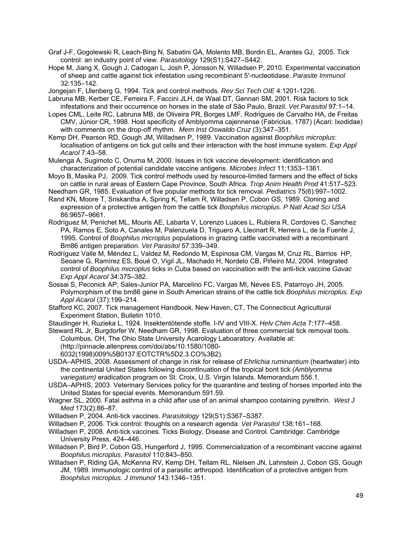- Graf J-F, Gogolewski R, Leach-Bing N, Sabatini GA, Molento MB, Bordin EL, Arantes GJ, 2005. Tick control: an industry point of view. *Parasitology* 129(S1):S427–S442.
- Hope M, Jiang X, Gough J, Cadogan L, Josh P, Jonsson N, Willadsen P, 2010. Experimental vaccination of sheep and cattle against tick infestation using recombinant 5′-nucleotidase. *Parasite Immunol* 32:135–142.

Jongejan F, Ulenberg G, 1994. Tick and control methods*. Rev Sci Tech OIE* 4:1201-1226.

- Labruna MB, Kerber CE, Ferreira F, Faccini JLH, de Waal DT, Gennari SM, 2001. Risk factors to tick infestations and their occurrence on horses in the state of São Paulo, Brazil. *Vet Parasitol* 97:1–14.
- Lopes CML, Leite RC, Labruna MB, de Oliveira PR, Borges LMF, Rodrigues de Carvalho HA, de Freitas CMV, Júnior CR, 1998. Host specificity of Amblyomma cajennense (Fabricius, 1787) (Acari: Ixodidae) with comments on the drop-off rhythm. *Mem Inst Oswaldo Cruz* (3):347–351.
- Kemp DH, Pearson RD, Gough JM, Willadsen P, 1989. Vaccination against *Boophilus microplus*: localisation of antigens on tick gut cells and their interaction with the host immune system. *Exp Appl Acarol* 7:43–58.
- Mulenga A, Sugimoto C, Onuma M, 2000. Issues in tick vaccine development: identification and characterization of potential candidate vaccine antigens. *Microbes Infect* 11:1353–1361.
- Moyo B, Masika PJ, 2009. Tick control methods used by resource-limited farmers and the effect of ticks on cattle in rural areas of Eastern Cape Province, South Africa. *Trop Anim Health Prod* 41:517–523.
- Needham GR, 1985. Evaluation of five popular methods for tick removal. *Pediatrics* 75(6):997–1002.
- Rand KN, Moore T, Sriskantha A, Spring K, Tellam R, Willadsen P, Cobon GS, 1989. Cloning and expression of a protective antigen from the cattle tick *Boophilus microplus. P Natl Acad Sci USA* 86:9657–9661.
- Rodríguez M, Penichet ML, Mouris AE, Labarta V, Lorenzo Luaces L, Rubiera R, Cordoves C, Sanchez PA, Ramos E, Soto A, Canales M, Palenzuela D, Triguero A, Lleonart R, Herrera L, de la Fuente J, 1995. Control of *Boophilus microplus* populations in grazing cattle vaccinated with a recombinant Bm86 antigen preparation. *Vet Parasitol* 57:339–349.
- Rodríguez Valle M, Méndez L, Valdez M, Redondo M, Espinosa CM, Vargas M, Cruz RL, Barrios HP, Seoane G, Ramírez ES, Boué O, Vigil JL, Machado H, Nordelo CB, Piñeiro MJ, 2004. Integrated control of *Boophilus microplus* ticks in Cuba based on vaccination with the anti-tick vaccine *Gavac Exp Appl Acarol* 34:375–382.
- Sossai S, Peconick AP, Sales-Junior PA, Marcelino FC, Vargas MI, Neves ES, Patarroyo JH, 2005. Polymorphism of the bm86 gene in South American strains of the cattle tick *Boophilus microplus. Exp Appl Acarol* (37):199–214.
- Stafford KC, 2007. Tick management Handbook. New Haven, CT, The Connecticut Agricultural Experiment Station, Bulletin 1010.

Staudinger H, Ruzieka L, 1924. Insektentötende stoffe. I-IV and VIII-X. *Helv Chim Acta* 7:177–458.

Steward RL Jr, Burgdorfer W, Needham GR, 1998. Evaluation of three commercial tick removal tools. Columbus, OH, The Ohio State University Acarology Laboaratory. Available at: (http://pinnacle.allenpress.com/doi/abs/10.1580/1080-

- 6032(1998)009%5B0137:EOTCTR%5D2.3.CO%3B2).
- USDA–APHIS, 2008. Assessment of change in risk for release of *Ehrlichia ruminantium* (heartwater) into the continental United States following discontinuation of the tropical bont tick *(Amblyomma variegatum)* eradication program on St. Croix, U.S. Virgin Islands. Memorandum 556.1.
- USDA–APHIS, 2003. Veterinary Services policy for the quarantine and testing of horses imported into the United States for special events. Memorandum 591.59.
- Wagner SL, 2000. Fatal asthma in a child after use of an animal shampoo containing pyrethrin. *West J Med* 173(2):86–87.
- Willadsen P, 2004. Anti-tick vaccines. *Parasitology* 129(S1):S367–S387.
- Willadsen P, 2006. Tick control: thoughts on a research agenda. *Vet Parasitol* 138:161–168.
- Willadsen P, 2008. Anti-tick vaccines. Ticks Biology, Disease and Control*.* Cambridge: Cambridge University Press, 424–446.
- Willadsen P, Bird P, Cobon GS, Hungerford J, 1995. Commercialization of a recombinant vaccine against *Boophilus microplus*. *Parasitol* 110:843–850.
- Willadsen P, Riding GA, McKenna RV, Kemp DH, Tellam RL, Nielsen JN, Lahnstein J, Cobon GS, Gough JM, 1989. Immunologic control of a parasitic arthropod. Identification of a protective antigen from *Boophilus microplus. J Immunol* 143:1346–1351.